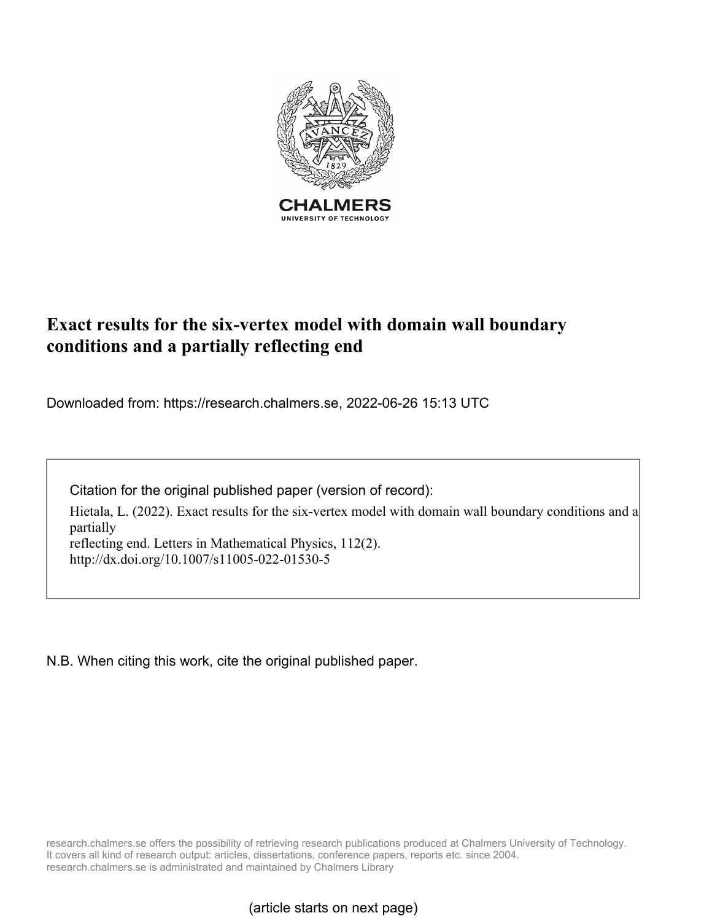

# **Exact results for the six-vertex model with domain wall boundary conditions and a partially reflecting end**

Downloaded from: https://research.chalmers.se, 2022-06-26 15:13 UTC

Citation for the original published paper (version of record):

Hietala, L. (2022). Exact results for the six-vertex model with domain wall boundary conditions and a partially reflecting end. Letters in Mathematical Physics, 112(2).

http://dx.doi.org/10.1007/s11005-022-01530-5

N.B. When citing this work, cite the original published paper.

research.chalmers.se offers the possibility of retrieving research publications produced at Chalmers University of Technology. It covers all kind of research output: articles, dissertations, conference papers, reports etc. since 2004. research.chalmers.se is administrated and maintained by Chalmers Library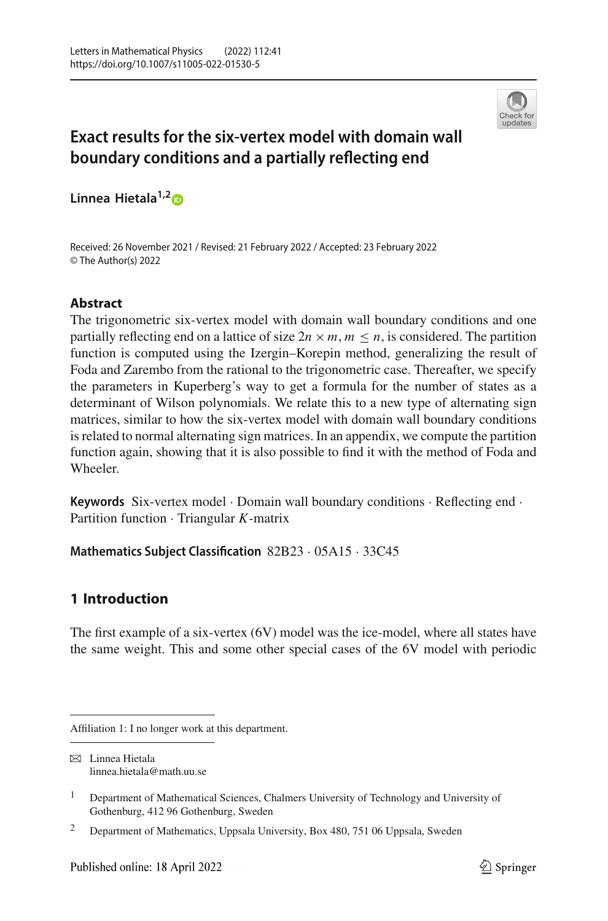

# **Exact results for the six-vertex model with domain wall boundary conditions and a partially reflecting end**

**Linnea Hietala1,[2](http://orcid.org/0000-0002-5483-1497)**

Received: 26 November 2021 / Revised: 21 February 2022 / Accepted: 23 February 2022 © The Author(s) 2022

# **Abstract**

The trigonometric six-vertex model with domain wall boundary conditions and one partially reflecting end on a lattice of size  $2n \times m$ ,  $m \leq n$ , is considered. The partition function is computed using the Izergin–Korepin method, generalizing the result of Foda and Zarembo from the rational to the trigonometric case. Thereafter, we specify the parameters in Kuperberg's way to get a formula for the number of states as a determinant of Wilson polynomials. We relate this to a new type of alternating sign matrices, similar to how the six-vertex model with domain wall boundary conditions is related to normal alternating sign matrices. In an appendix, we compute the partition function again, showing that it is also possible to find it with the method of Foda and Wheeler.

**Keywords** Six-vertex model · Domain wall boundary conditions · Reflecting end · Partition function · Triangular *K*-matrix

**Mathematics Subject Classification** 82B23 · 05A15 · 33C45

# **1 Introduction**

The first example of a six-vertex (6V) model was the ice-model, where all states have the same weight. This and some other special cases of the 6V model with periodic

Affiliation 1: I no longer work at this department.

 $\boxtimes$  Linnea Hietala linnea.hietala@math.uu.se

<sup>&</sup>lt;sup>1</sup> Department of Mathematical Sciences, Chalmers University of Technology and University of Gothenburg, 412 96 Gothenburg, Sweden

<sup>&</sup>lt;sup>2</sup> Department of Mathematics, Uppsala University, Box 480, 751 06 Uppsala, Sweden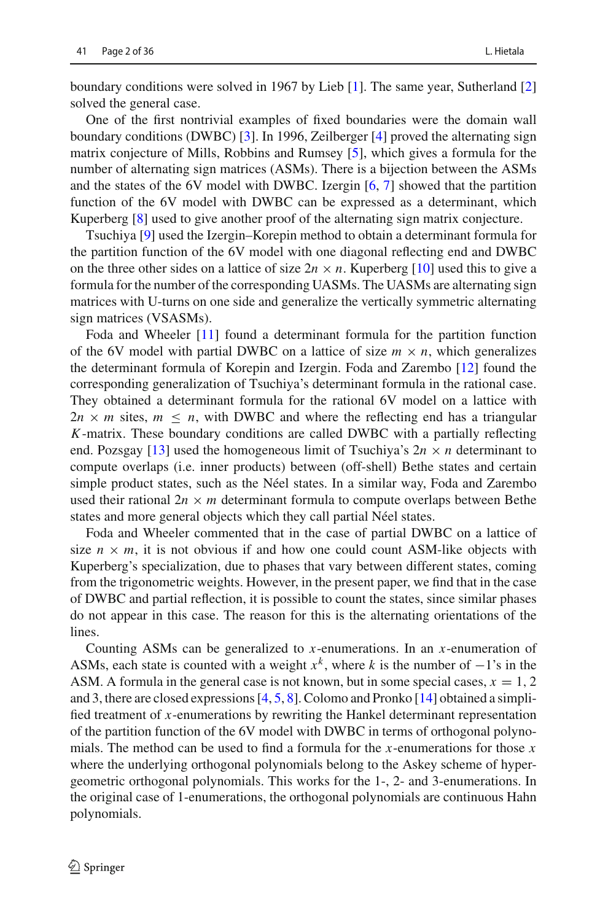boundary conditions were solved in 1967 by Lieb [\[1\]](#page-35-0). The same year, Sutherland [\[2\]](#page-35-1) solved the general case.

One of the first nontrivial examples of fixed boundaries were the domain wall boundary conditions (DWBC) [\[3](#page-35-2)]. In 1996, Zeilberger [\[4\]](#page-35-3) proved the alternating sign matrix conjecture of Mills, Robbins and Rumsey [\[5\]](#page-35-4), which gives a formula for the number of alternating sign matrices (ASMs). There is a bijection between the ASMs and the states of the 6V model with DWBC. Izergin [\[6,](#page-35-5) [7](#page-35-6)] showed that the partition function of the 6V model with DWBC can be expressed as a determinant, which Kuperberg [\[8\]](#page-35-7) used to give another proof of the alternating sign matrix conjecture.

Tsuchiya [\[9](#page-36-0)] used the Izergin–Korepin method to obtain a determinant formula for the partition function of the 6V model with one diagonal reflecting end and DWBC on the three other sides on a lattice of size  $2n \times n$ . Kuperberg [\[10\]](#page-36-1) used this to give a formula for the number of the corresponding UASMs. The UASMs are alternating sign matrices with U-turns on one side and generalize the vertically symmetric alternating sign matrices (VSASMs).

Foda and Wheeler [\[11](#page-36-2)] found a determinant formula for the partition function of the 6V model with partial DWBC on a lattice of size  $m \times n$ , which generalizes the determinant formula of Korepin and Izergin. Foda and Zarembo [\[12\]](#page-36-3) found the corresponding generalization of Tsuchiya's determinant formula in the rational case. They obtained a determinant formula for the rational 6V model on a lattice with  $2n \times m$  sites,  $m \leq n$ , with DWBC and where the reflecting end has a triangular *K*-matrix. These boundary conditions are called DWBC with a partially reflecting end. Pozsgay [\[13\]](#page-36-4) used the homogeneous limit of Tsuchiya's  $2n \times n$  determinant to compute overlaps (i.e. inner products) between (off-shell) Bethe states and certain simple product states, such as the Néel states. In a similar way, Foda and Zarembo used their rational  $2n \times m$  determinant formula to compute overlaps between Bethe states and more general objects which they call partial Néel states.

Foda and Wheeler commented that in the case of partial DWBC on a lattice of size  $n \times m$ , it is not obvious if and how one could count ASM-like objects with Kuperberg's specialization, due to phases that vary between different states, coming from the trigonometric weights. However, in the present paper, we find that in the case of DWBC and partial reflection, it is possible to count the states, since similar phases do not appear in this case. The reason for this is the alternating orientations of the lines.

Counting ASMs can be generalized to *x*-enumerations. In an *x*-enumeration of ASMs, each state is counted with a weight  $x<sup>k</sup>$ , where *k* is the number of  $-1$ 's in the ASM. A formula in the general case is not known, but in some special cases,  $x = 1, 2$ and 3, there are closed expressions [\[4](#page-35-3), [5](#page-35-4), [8](#page-35-7)]. Colomo and Pronko [\[14](#page-36-5)] obtained a simplified treatment of *x*-enumerations by rewriting the Hankel determinant representation of the partition function of the 6V model with DWBC in terms of orthogonal polynomials. The method can be used to find a formula for the *x*-enumerations for those *x* where the underlying orthogonal polynomials belong to the Askey scheme of hypergeometric orthogonal polynomials. This works for the 1-, 2- and 3-enumerations. In the original case of 1-enumerations, the orthogonal polynomials are continuous Hahn polynomials.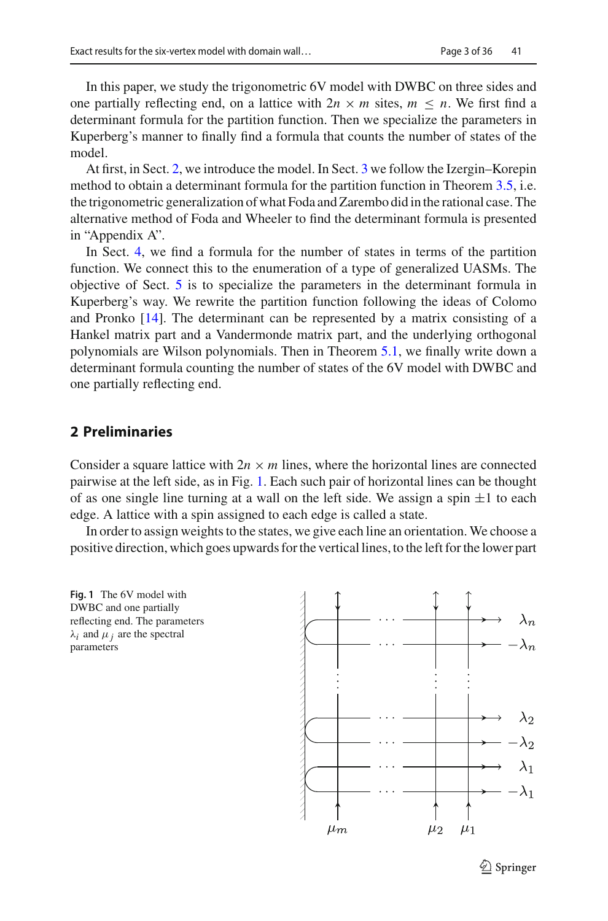In this paper, we study the trigonometric 6V model with DWBC on three sides and one partially reflecting end, on a lattice with  $2n \times m$  sites,  $m \leq n$ . We first find a determinant formula for the partition function. Then we specialize the parameters in Kuperberg's manner to finally find a formula that counts the number of states of the model.

At first, in Sect. [2,](#page-3-0) we introduce the model. In Sect. [3](#page-6-0) we follow the Izergin–Korepin method to obtain a determinant formula for the partition function in Theorem [3.5,](#page-10-0) i.e. the trigonometric generalization of what Foda and Zarembo did in the rational case. The alternative method of Foda and Wheeler to find the determinant formula is presented in "Appendix A".

In Sect. [4,](#page-13-0) we find a formula for the number of states in terms of the partition function. We connect this to the enumeration of a type of generalized UASMs. The objective of Sect. [5](#page-17-0) is to specialize the parameters in the determinant formula in Kuperberg's way. We rewrite the partition function following the ideas of Colomo and Pronko [\[14\]](#page-36-5). The determinant can be represented by a matrix consisting of a Hankel matrix part and a Vandermonde matrix part, and the underlying orthogonal polynomials are Wilson polynomials. Then in Theorem [5.1,](#page-26-0) we finally write down a determinant formula counting the number of states of the 6V model with DWBC and one partially reflecting end.

## <span id="page-3-0"></span>**2 Preliminaries**

Consider a square lattice with  $2n \times m$  lines, where the horizontal lines are connected pairwise at the left side, as in Fig. [1.](#page-3-1) Each such pair of horizontal lines can be thought of as one single line turning at a wall on the left side. We assign a spin  $\pm 1$  to each edge. A lattice with a spin assigned to each edge is called a state.

In order to assign weights to the states, we give each line an orientation. We choose a positive direction, which goes upwards for the vertical lines, to the left for the lower part

<span id="page-3-1"></span>

 $\mathcal{L}$  Springer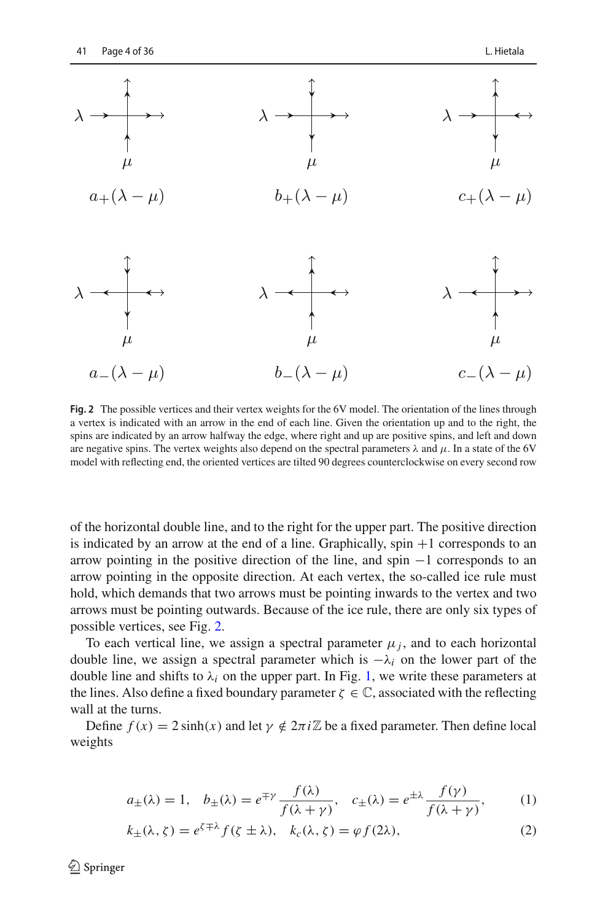

<span id="page-4-0"></span>**Fig. 2** The possible vertices and their vertex weights for the 6V model. The orientation of the lines through a vertex is indicated with an arrow in the end of each line. Given the orientation up and to the right, the spins are indicated by an arrow halfway the edge, where right and up are positive spins, and left and down are negative spins. The vertex weights also depend on the spectral parameters  $\lambda$  and  $\mu$ . In a state of the 6V model with reflecting end, the oriented vertices are tilted 90 degrees counterclockwise on every second row

of the horizontal double line, and to the right for the upper part. The positive direction is indicated by an arrow at the end of a line. Graphically,  $spin +1$  corresponds to an arrow pointing in the positive direction of the line, and spin −1 corresponds to an arrow pointing in the opposite direction. At each vertex, the so-called ice rule must hold, which demands that two arrows must be pointing inwards to the vertex and two arrows must be pointing outwards. Because of the ice rule, there are only six types of possible vertices, see Fig. [2.](#page-4-0)

To each vertical line, we assign a spectral parameter  $\mu_i$ , and to each horizontal double line, we assign a spectral parameter which is −λ*<sup>i</sup>* on the lower part of the double line and shifts to  $\lambda_i$  on the upper part. In Fig. [1,](#page-3-1) we write these parameters at the lines. Also define a fixed boundary parameter  $\zeta \in \mathbb{C}$ , associated with the reflecting wall at the turns.

Define  $f(x) = 2 \sinh(x)$  and let  $\gamma \notin 2\pi i \mathbb{Z}$  be a fixed parameter. Then define local weights

<span id="page-4-1"></span>
$$
a_{\pm}(\lambda) = 1, \quad b_{\pm}(\lambda) = e^{\mp \gamma} \frac{f(\lambda)}{f(\lambda + \gamma)}, \quad c_{\pm}(\lambda) = e^{\pm \lambda} \frac{f(\gamma)}{f(\lambda + \gamma)}, \tag{1}
$$

$$
k_{\pm}(\lambda, \zeta) = e^{\zeta \mp \lambda} f(\zeta \pm \lambda), \quad k_c(\lambda, \zeta) = \varphi f(2\lambda), \tag{2}
$$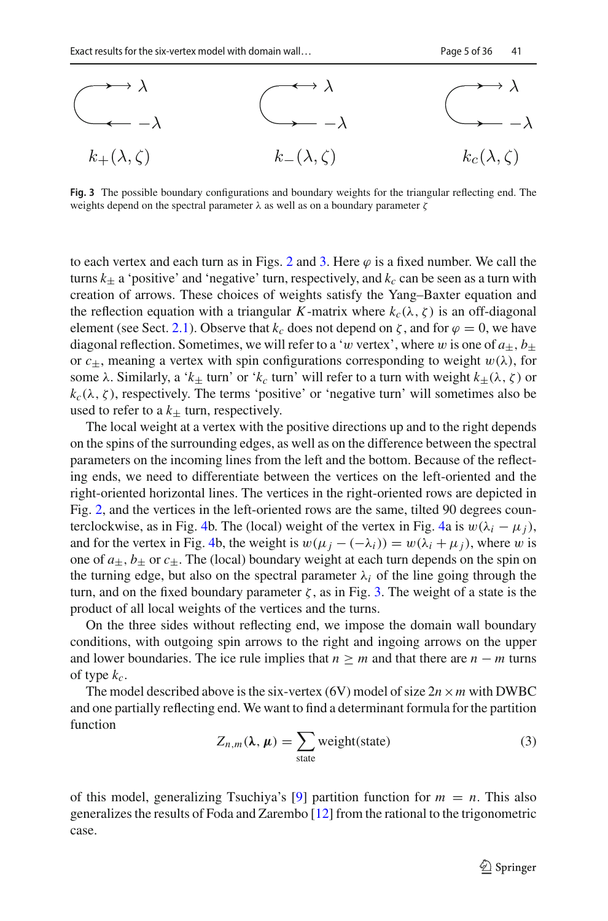

<span id="page-5-0"></span>**Fig. 3** The possible boundary configurations and boundary weights for the triangular reflecting end. The weights depend on the spectral parameter  $\lambda$  as well as on a boundary parameter  $\zeta$ 

to each vertex and each turn as in Figs. [2](#page-4-0) and [3.](#page-5-0) Here  $\varphi$  is a fixed number. We call the turns  $k_{\pm}$  a 'positive' and 'negative' turn, respectively, and  $k_c$  can be seen as a turn with creation of arrows. These choices of weights satisfy the Yang–Baxter equation and the reflection equation with a triangular *K*-matrix where  $k_c(\lambda, \zeta)$  is an off-diagonal element (see Sect. [2.1\)](#page-6-1). Observe that  $k_c$  does not depend on  $\zeta$ , and for  $\varphi = 0$ , we have diagonal reflection. Sometimes, we will refer to a 'w vertex', where w is one of  $a_{\pm}$ ,  $b_{\pm}$ or  $c_{+}$ , meaning a vertex with spin configurations corresponding to weight  $w(\lambda)$ , for some  $\lambda$ . Similarly, a ' $k_{\pm}$  turn' or ' $k_c$  turn' will refer to a turn with weight  $k_{\pm}(\lambda, \zeta)$  or  $k_c(\lambda, \zeta)$ , respectively. The terms 'positive' or 'negative turn' will sometimes also be used to refer to a  $k_{+}$  turn, respectively.

The local weight at a vertex with the positive directions up and to the right depends on the spins of the surrounding edges, as well as on the difference between the spectral parameters on the incoming lines from the left and the bottom. Because of the reflecting ends, we need to differentiate between the vertices on the left-oriented and the right-oriented horizontal lines. The vertices in the right-oriented rows are depicted in Fig. [2,](#page-4-0) and the vertices in the left-oriented rows are the same, tilted 90 degrees coun-terclockwise, as in Fig. [4b](#page-6-2). The (local) weight of the vertex in Fig. [4a](#page-6-2) is  $w(\lambda_i - \mu_i)$ , and for the vertex in Fig. [4b](#page-6-2), the weight is  $w(\mu_i - (-\lambda_i)) = w(\lambda_i + \mu_i)$ , where w is one of  $a_+, b_+$  or  $c_+$ . The (local) boundary weight at each turn depends on the spin on the turning edge, but also on the spectral parameter  $\lambda_i$  of the line going through the turn, and on the fixed boundary parameter ζ, as in Fig. [3.](#page-5-0) The weight of a state is the product of all local weights of the vertices and the turns.

On the three sides without reflecting end, we impose the domain wall boundary conditions, with outgoing spin arrows to the right and ingoing arrows on the upper and lower boundaries. The ice rule implies that  $n \geq m$  and that there are  $n - m$  turns of type  $k_c$ .

The model described above is the six-vertex (6V) model of size  $2n \times m$  with DWBC and one partially reflecting end. We want to find a determinant formula for the partition function

<span id="page-5-1"></span>
$$
Z_{n,m}(\lambda, \mu) = \sum_{\text{state}} \text{weight}(\text{state}) \tag{3}
$$

of this model, generalizing Tsuchiya's [\[9\]](#page-36-0) partition function for  $m = n$ . This also generalizes the results of Foda and Zarembo [\[12\]](#page-36-3) from the rational to the trigonometric case.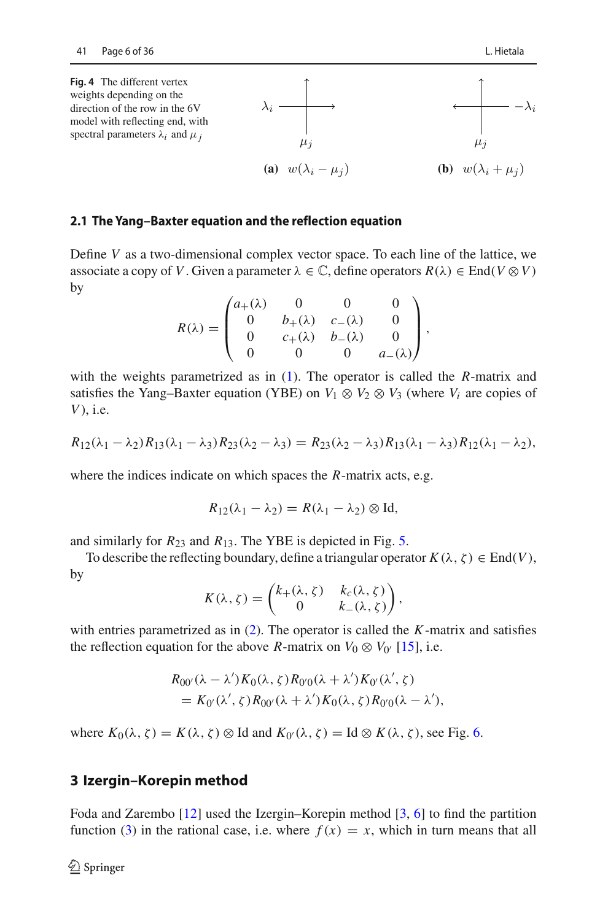<span id="page-6-2"></span>

#### <span id="page-6-1"></span>**2.1 The Yang–Baxter equation and the reflection equation**

Define *V* as a two-dimensional complex vector space. To each line of the lattice, we associate a copy of *V*. Given a parameter  $\lambda \in \mathbb{C}$ , define operators  $R(\lambda) \in \text{End}(V \otimes V)$ by

$$
R(\lambda) = \begin{pmatrix} a_{+}(\lambda) & 0 & 0 & 0 \\ 0 & b_{+}(\lambda) & c_{-}(\lambda) & 0 \\ 0 & c_{+}(\lambda) & b_{-}(\lambda) & 0 \\ 0 & 0 & 0 & a_{-}(\lambda) \end{pmatrix},
$$

with the weights parametrized as in [\(1\)](#page-4-1). The operator is called the *R*-matrix and satisfies the Yang–Baxter equation (YBE) on  $V_1 \otimes V_2 \otimes V_3$  (where  $V_i$  are copies of *V*), i.e.

$$
R_{12}(\lambda_1 - \lambda_2)R_{13}(\lambda_1 - \lambda_3)R_{23}(\lambda_2 - \lambda_3) = R_{23}(\lambda_2 - \lambda_3)R_{13}(\lambda_1 - \lambda_3)R_{12}(\lambda_1 - \lambda_2),
$$

where the indices indicate on which spaces the *R*-matrix acts, e.g.

$$
R_{12}(\lambda_1-\lambda_2)=R(\lambda_1-\lambda_2)\otimes \mathrm{Id},
$$

and similarly for  $R_{23}$  and  $R_{13}$ . The YBE is depicted in Fig. [5.](#page-7-0)

To describe the reflecting boundary, define a triangular operator  $K(\lambda, \zeta) \in \text{End}(V)$ , by

$$
K(\lambda, \zeta) = \begin{pmatrix} k_+(\lambda, \zeta) & k_c(\lambda, \zeta) \\ 0 & k_-(\lambda, \zeta) \end{pmatrix},
$$

with entries parametrized as in [\(2\)](#page-4-1). The operator is called the *K*-matrix and satisfies the reflection equation for the above *R*-matrix on  $V_0 \otimes V_{0}$  [\[15\]](#page-36-6), i.e.

$$
R_{00'}(\lambda - \lambda')K_0(\lambda, \zeta)R_{0'0}(\lambda + \lambda')K_{0'}(\lambda', \zeta)
$$
  
=  $K_{0'}(\lambda', \zeta)R_{00'}(\lambda + \lambda')K_0(\lambda, \zeta)R_{0'0}(\lambda - \lambda'),$ 

where  $K_0(\lambda, \zeta) = K(\lambda, \zeta) \otimes \text{Id}$  and  $K_{0'}(\lambda, \zeta) = \text{Id} \otimes K(\lambda, \zeta)$ , see Fig. [6.](#page-7-1)

#### <span id="page-6-0"></span>**3 Izergin–Korepin method**

Foda and Zarembo [\[12\]](#page-36-3) used the Izergin–Korepin method [\[3,](#page-35-2) [6](#page-35-5)] to find the partition function [\(3\)](#page-5-1) in the rational case, i.e. where  $f(x) = x$ , which in turn means that all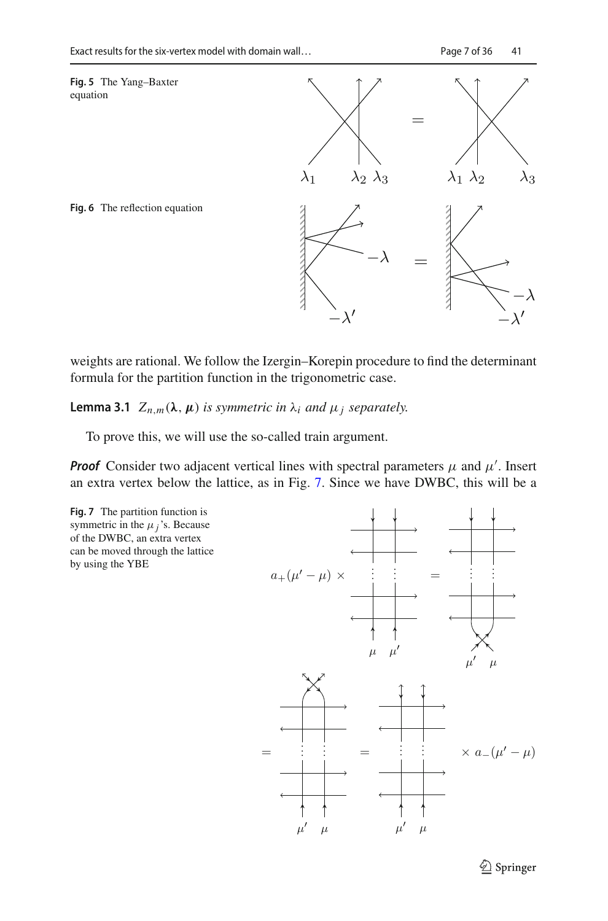<span id="page-7-0"></span>

<span id="page-7-1"></span>



<span id="page-7-3"></span>weights are rational. We follow the Izergin–Korepin procedure to find the determinant formula for the partition function in the trigonometric case.

**Lemma 3.1**  $Z_{n,m}(\lambda, \mu)$  *is symmetric in*  $\lambda_i$  *and*  $\mu_j$  *separately.* 

To prove this, we will use the so-called train argument.

**Proof** Consider two adjacent vertical lines with spectral parameters  $\mu$  and  $\mu'$ . Insert an extra vertex below the lattice, as in Fig. [7.](#page-7-2) Since we have DWBC, this will be a

<span id="page-7-2"></span>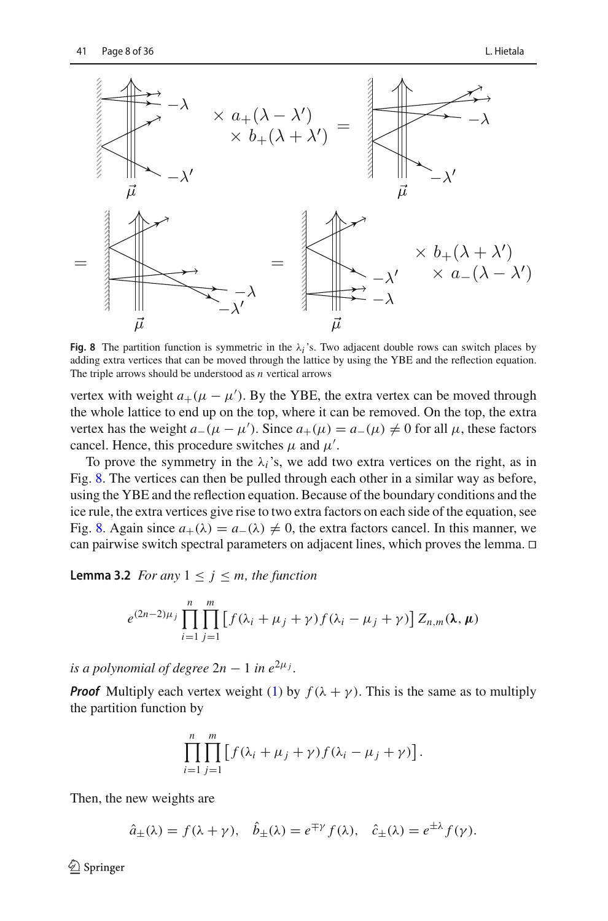

<span id="page-8-0"></span>**Fig. 8** The partition function is symmetric in the  $\lambda_i$ 's. Two adjacent double rows can switch places by adding extra vertices that can be moved through the lattice by using the YBE and the reflection equation. The triple arrows should be understood as *n* vertical arrows

vertex with weight  $a_+(\mu - \mu')$ . By the YBE, the extra vertex can be moved through the whole lattice to end up on the top, where it can be removed. On the top, the extra vertex has the weight  $a_-(\mu - \mu')$ . Since  $a_+(\mu) = a_-(\mu) \neq 0$  for all  $\mu$ , these factors cancel. Hence, this procedure switches  $\mu$  and  $\mu'$ .

To prove the symmetry in the  $\lambda_i$ 's, we add two extra vertices on the right, as in Fig. [8.](#page-8-0) The vertices can then be pulled through each other in a similar way as before, using the YBE and the reflection equation. Because of the boundary conditions and the ice rule, the extra vertices give rise to two extra factors on each side of the equation, see Fig. [8.](#page-8-0) Again since  $a_+(\lambda) = a_-(\lambda) \neq 0$ , the extra factors cancel. In this manner, we can pairwise switch spectral parameters on adjacent lines, which proves the lemma. 

<span id="page-8-1"></span>**Lemma 3.2** *For any*  $1 \leq j \leq m$ *, the function* 

$$
e^{(2n-2)\mu_j}\prod_{i=1}^n\prod_{j=1}^m\left[f(\lambda_i+\mu_j+\gamma)f(\lambda_i-\mu_j+\gamma)\right]Z_{n,m}(\lambda,\mu)
$$

*is a polynomial of degree*  $2n - 1$  *in e*<sup> $2\mu$ *j*</sup>.

*Proof* Multiply each vertex weight [\(1\)](#page-4-1) by  $f(\lambda + \gamma)$ . This is the same as to multiply the partition function by

$$
\prod_{i=1}^n \prod_{j=1}^m \left[ f(\lambda_i + \mu_j + \gamma) f(\lambda_i - \mu_j + \gamma) \right].
$$

Then, the new weights are

$$
\hat{a}_{\pm}(\lambda) = f(\lambda + \gamma), \quad \hat{b}_{\pm}(\lambda) = e^{\mp \gamma} f(\lambda), \quad \hat{c}_{\pm}(\lambda) = e^{\pm \lambda} f(\gamma).
$$

 $\textcircled{2}$  Springer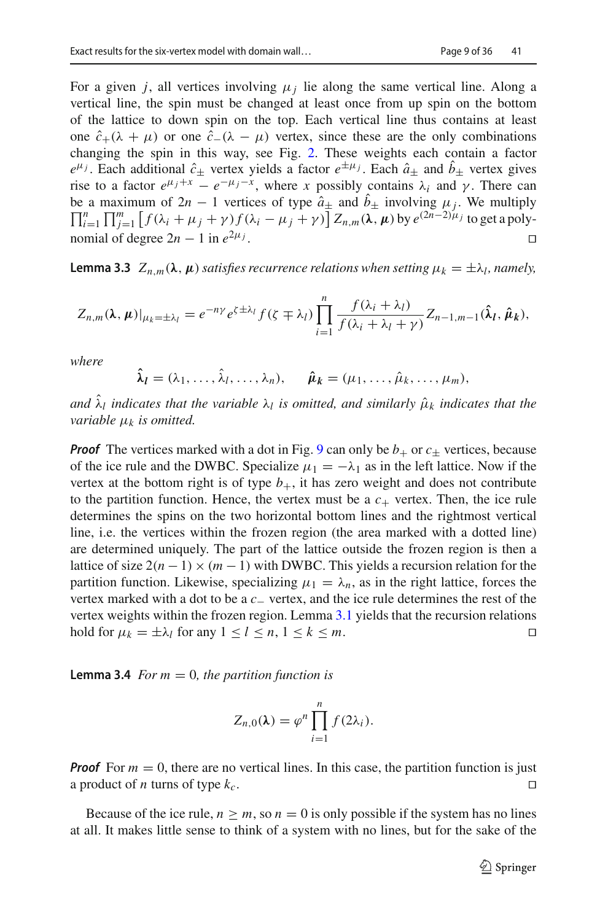For a given *j*, all vertices involving  $\mu_i$  lie along the same vertical line. Along a vertical line, the spin must be changed at least once from up spin on the bottom of the lattice to down spin on the top. Each vertical line thus contains at least one  $\hat{c}_+(\lambda + \mu)$  or one  $\hat{c}_-(\lambda - \mu)$  vertex, since these are the only combinations changing the spin in this way, see Fig. [2.](#page-4-0) These weights each contain a factor  $e^{\mu_j}$ . Each additional  $\hat{c}_\pm$  vertex yields a factor  $e^{\pm \mu_j}$ . Each  $\hat{a}_\pm$  and  $\hat{b}_\pm$  vertex gives rise to a factor  $e^{\mu_j + x} - e^{-\mu_j - x}$ , where *x* possibly contains  $\lambda_i$  and  $\gamma$ . There can be a maximum of  $2n - 1$  vertices of type  $\hat{a}_{\pm}$  and  $b_{\pm}$  involving  $\mu_j$ . We multiply  $\Pi^n - \Pi^m$   $f(\lambda + \mu + \lambda) f(\lambda - \mu + \lambda) |Z - (\lambda - \mu) |_{\text{two}}(2n - 2)\mu_j$  to get a poly- $\prod_{i=1}^{n} \prod_{j=1}^{m} \left[ f(\lambda_i + \mu_j + \gamma) f(\lambda_i - \mu_j + \gamma) \right] Z_{n,m}(\lambda, \mu)$  by  $e^{(2n-2)\mu_j}$  to get a polynomial of degree  $2n - 1$  in  $e^{2\mu_j}$ .

<span id="page-9-0"></span>**Lemma 3.3**  $Z_{n,m}(\lambda, \mu)$  *satisfies recurrence relations when setting*  $\mu_k = \pm \lambda_l$ *, namely,* 

$$
Z_{n,m}(\lambda,\mu)|_{\mu_k=\pm\lambda_l}=e^{-n\gamma}e^{\zeta\pm\lambda_l}f(\zeta\mp\lambda_l)\prod_{i=1}^n\frac{f(\lambda_i+\lambda_l)}{f(\lambda_i+\lambda_l+\gamma)}Z_{n-1,m-1}(\hat{\lambda}_l,\hat{\mu}_k),
$$

*where*

$$
\hat{\lambda}_l=(\lambda_1,\ldots,\hat{\lambda}_l,\ldots,\lambda_n), \qquad \hat{\mu}_k=(\mu_1,\ldots,\hat{\mu}_k,\ldots,\mu_m),
$$

*and*  $\hat{\lambda}_l$  *indicates that the variable*  $\lambda_l$  *is omitted, and similarly*  $\hat{\mu}_k$  *indicates that the variable* μ*<sup>k</sup> is omitted.*

*Proof* The vertices marked with a dot in Fig. [9](#page-10-1) can only be  $b_+$  or  $c_{\pm}$  vertices, because of the ice rule and the DWBC. Specialize  $\mu_1 = -\lambda_1$  as in the left lattice. Now if the vertex at the bottom right is of type  $b_{+}$ , it has zero weight and does not contribute to the partition function. Hence, the vertex must be a  $c_{+}$  vertex. Then, the ice rule determines the spins on the two horizontal bottom lines and the rightmost vertical line, i.e. the vertices within the frozen region (the area marked with a dotted line) are determined uniquely. The part of the lattice outside the frozen region is then a lattice of size  $2(n-1) \times (m-1)$  with DWBC. This yields a recursion relation for the partition function. Likewise, specializing  $\mu_1 = \lambda_n$ , as in the right lattice, forces the vertex marked with a dot to be a *c*<sup>−</sup> vertex, and the ice rule determines the rest of the vertex weights within the frozen region. Lemma [3.1](#page-7-3) yields that the recursion relations hold for  $\mu_k = \pm \lambda_l$  for any  $1 \le l \le n, 1 \le k \le m$ .

<span id="page-9-1"></span>**Lemma 3.4** *For m* = 0*, the partition function is* 

$$
Z_{n,0}(\lambda) = \varphi^n \prod_{i=1}^n f(2\lambda_i).
$$

*Proof* For  $m = 0$ , there are no vertical lines. In this case, the partition function is just a product of *n* turns of type  $k_c$ .

Because of the ice rule,  $n \geq m$ , so  $n = 0$  is only possible if the system has no lines at all. It makes little sense to think of a system with no lines, but for the sake of the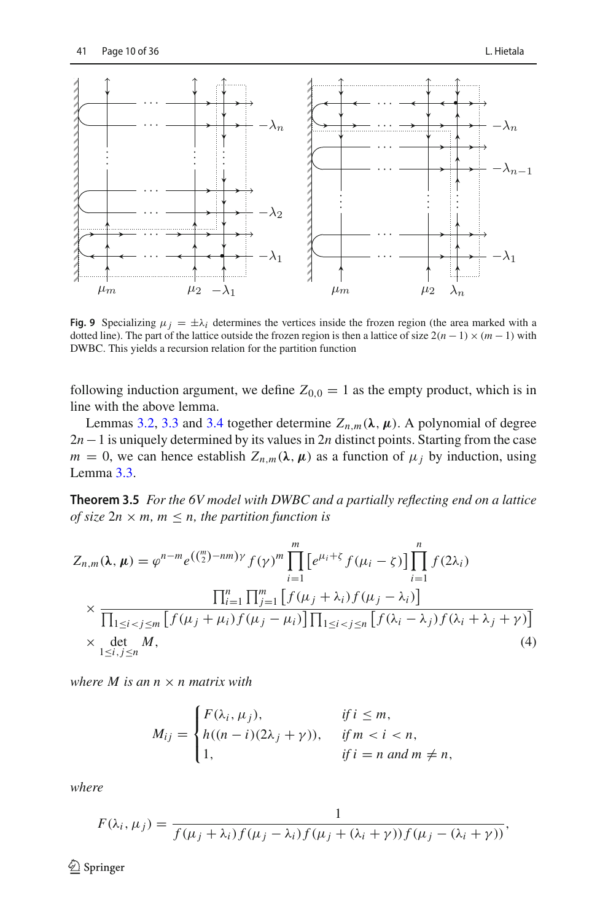

<span id="page-10-1"></span>**Fig. 9** Specializing  $\mu_j = \pm \lambda_i$  determines the vertices inside the frozen region (the area marked with a dotted line). The part of the lattice outside the frozen region is then a lattice of size  $2(n-1)\times(m-1)$  with DWBC. This yields a recursion relation for the partition function

following induction argument, we define  $Z_{0,0} = 1$  as the empty product, which is in line with the above lemma.

Lemmas [3.2,](#page-8-1) [3.3](#page-9-0) and [3.4](#page-9-1) together determine  $Z_{n,m}(\lambda, \mu)$ . A polynomial of degree 2*n*−1 is uniquely determined by its values in 2*n* distinct points. Starting from the case  $m = 0$ , we can hence establish  $Z_{n,m}(\lambda, \mu)$  as a function of  $\mu_j$  by induction, using Lemma [3.3.](#page-9-0)

<span id="page-10-0"></span>**Theorem 3.5** *For the 6V model with DWBC and a partially reflecting end on a lattice of size*  $2n \times m$ *,*  $m \leq n$ *, the partition function is* 

$$
Z_{n,m}(\lambda, \mu) = \varphi^{n-m} e^{\left(\binom{m}{2} - nm\right) \gamma} f(\gamma)^m \prod_{i=1}^m \left[ e^{\mu_i + \zeta} f(\mu_i - \zeta) \right] \prod_{i=1}^n f(2\lambda_i)
$$
  
 
$$
\times \frac{\prod_{i=1}^n \prod_{j=1}^m \left[ f(\mu_j + \lambda_i) f(\mu_j - \lambda_i) \right]}{\prod_{1 \le i < j \le m} \left[ f(\mu_j + \mu_i) f(\mu_j - \mu_i) \right] \prod_{1 \le i < j \le n} \left[ f(\lambda_i - \lambda_j) f(\lambda_i + \lambda_j + \gamma) \right]}
$$
  
 
$$
\times \det_{1 \le i, j \le n} M,
$$
  
(4)

*where*  $M$  *is an n*  $\times$  *n matrix with* 

<span id="page-10-2"></span>
$$
M_{ij} = \begin{cases} F(\lambda_i, \mu_j), & \text{if } i \leq m, \\ h((n-i)(2\lambda_j + \gamma)), & \text{if } m < i < n, \\ 1, & \text{if } i = n \text{ and } m \neq n, \end{cases}
$$

*where*

$$
F(\lambda_i, \mu_j) = \frac{1}{f(\mu_j + \lambda_i) f(\mu_j - \lambda_i) f(\mu_j + (\lambda_i + \gamma)) f(\mu_j - (\lambda_i + \gamma))},
$$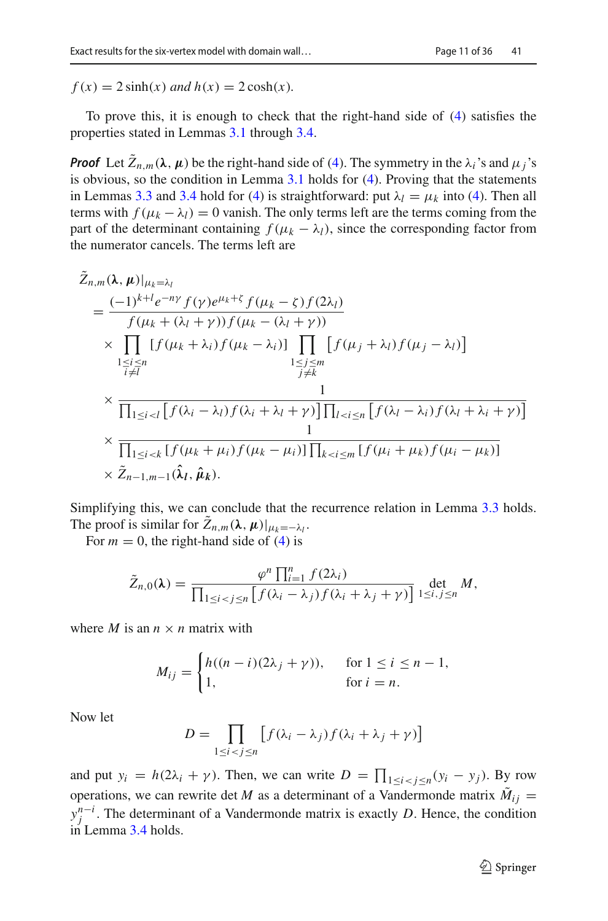$f(x) = 2 \sinh(x)$  *and*  $h(x) = 2 \cosh(x)$ *.* 

To prove this, it is enough to check that the right-hand side of [\(4\)](#page-10-2) satisfies the properties stated in Lemmas [3.1](#page-7-3) through [3.4.](#page-9-1)

*Proof* Let  $\tilde{Z}_{n,m}(\lambda,\mu)$  be the right-hand side of [\(4\)](#page-10-2). The symmetry in the  $\lambda_i$ 's and  $\mu_i$ 's is obvious, so the condition in Lemma [3.1](#page-7-3) holds for [\(4\)](#page-10-2). Proving that the statements in Lemmas [3.3](#page-9-0) and [3.4](#page-9-1) hold for [\(4\)](#page-10-2) is straightforward: put  $\lambda_l = \mu_k$  into (4). Then all terms with  $f(\mu_k - \lambda_l) = 0$  vanish. The only terms left are the terms coming from the part of the determinant containing  $f(\mu_k - \lambda_l)$ , since the corresponding factor from the numerator cancels. The terms left are

$$
Z_{n,m}(\lambda, \mu)|_{\mu_k=\lambda_l}
$$
\n
$$
= \frac{(-1)^{k+l}e^{-ny}f(\gamma)e^{\mu_k+\zeta}f(\mu_k-\zeta)f(2\lambda_l)}{f(\mu_k+(\lambda_l+\gamma))f(\mu_k-(\lambda_l+\gamma))}
$$
\n
$$
\times \prod_{\substack{1 \le i \le n \\ i \ne l}} [f(\mu_k+\lambda_i)f(\mu_k-\lambda_i)] \prod_{\substack{1 \le j \le m \\ j \ne k}} [f(\mu_j+\lambda_l)f(\mu_j-\lambda_l)]
$$
\n
$$
\times \frac{1}{\prod_{1 \le i < l} [f(\lambda_i-\lambda_l)f(\lambda_i+\lambda_l+\gamma)] \prod_{l < i \le n} [f(\lambda_l-\lambda_i)f(\lambda_l+\lambda_i+\gamma)]}
$$
\n
$$
\times \frac{1}{\prod_{1 \le i < k} [f(\mu_k+\mu_i)f(\mu_k-\mu_i)] \prod_{k < i \le m} [f(\mu_i+\mu_k)f(\mu_i-\mu_k)]}
$$
\n
$$
\times \tilde{Z}_{n-1,m-1}(\hat{\lambda}_l, \hat{\mu}_k).
$$

Simplifying this, we can conclude that the recurrence relation in Lemma [3.3](#page-9-0) holds. The proof is similar for  $\tilde{Z}_{n,m}(\lambda, \mu)|_{\mu_k=-\lambda_l}$ .

For  $m = 0$ , the right-hand side of [\(4\)](#page-10-2) is

$$
\tilde{Z}_{n,0}(\lambda) = \frac{\varphi^n \prod_{i=1}^n f(2\lambda_i)}{\prod_{1 \leq i < j \leq n} \left[ f(\lambda_i - \lambda_j) f(\lambda_i + \lambda_j + \gamma) \right]} \det_{1 \leq i,j \leq n} M,
$$

where *M* is an  $n \times n$  matrix with

$$
M_{ij} = \begin{cases} h((n-i)(2\lambda_j + \gamma)), & \text{for } 1 \le i \le n-1, \\ 1, & \text{for } i = n. \end{cases}
$$

Now let

$$
D = \prod_{1 \le i < j \le n} \left[ f(\lambda_i - \lambda_j) f(\lambda_i + \lambda_j + \gamma) \right]
$$

and put  $y_i = h(2\lambda_i + \gamma)$ . Then, we can write  $D = \prod_{1 \le i < j \le n} (y_i - y_j)$ . By row operations, we can rewrite det *M* as a determinant of a Vandermonde matrix  $\tilde{M}_{ij}$  =  $y_j^{n-i}$ . The determinant of a Vandermonde matrix is exactly *D*. Hence, the condition in Lemma [3.4](#page-9-1) holds.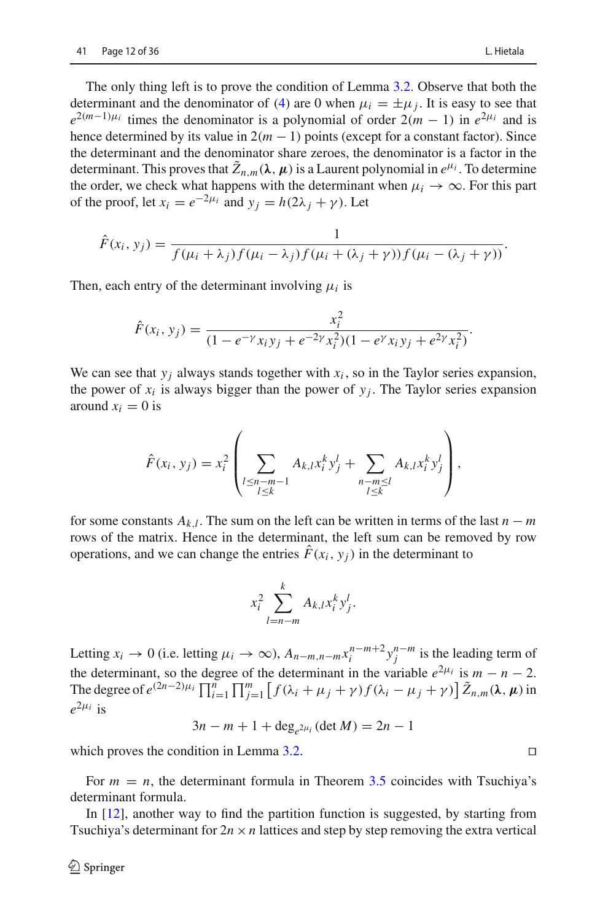The only thing left is to prove the condition of Lemma [3.2.](#page-8-1) Observe that both the determinant and the denominator of [\(4\)](#page-10-2) are 0 when  $\mu_i = \pm \mu_i$ . It is easy to see that  $e^{2(m-1)\mu_i}$  times the denominator is a polynomial of order  $2(m-1)$  in  $e^{2\mu_i}$  and is hence determined by its value in  $2(m - 1)$  points (except for a constant factor). Since the determinant and the denominator share zeroes, the denominator is a factor in the determinant. This proves that  $\bar{Z}_{n,m}(\lambda, \mu)$  is a Laurent polynomial in  $e^{\mu_i}$ . To determine the order, we check what happens with the determinant when  $\mu_i \to \infty$ . For this part of the proof, let  $x_i = e^{-2\mu_i}$  and  $y_i = h(2\lambda_i + \gamma)$ . Let

$$
\hat{F}(x_i, y_j) = \frac{1}{f(\mu_i + \lambda_j) f(\mu_i - \lambda_j) f(\mu_i + (\lambda_j + \gamma)) f(\mu_i - (\lambda_j + \gamma))}.
$$

Then, each entry of the determinant involving  $\mu_i$  is

$$
\hat{F}(x_i, y_j) = \frac{x_i^2}{(1 - e^{-\gamma}x_iy_j + e^{-2\gamma}x_i^2)(1 - e^{\gamma}x_iy_j + e^{2\gamma}x_i^2)}.
$$

We can see that  $y_i$  always stands together with  $x_i$ , so in the Taylor series expansion, the power of  $x_i$  is always bigger than the power of  $y_j$ . The Taylor series expansion around  $x_i = 0$  is

$$
\hat{F}(x_i, y_j) = x_i^2 \left( \sum_{\substack{l \le n-m-1 \\ l \le k}} A_{k,l} x_i^k y_j^l + \sum_{\substack{n-m \le l \\ l \le k}} A_{k,l} x_i^k y_j^l \right),
$$

for some constants  $A_{k,l}$ . The sum on the left can be written in terms of the last  $n - m$ rows of the matrix. Hence in the determinant, the left sum can be removed by row operations, and we can change the entries  $\hat{F}(x_i, y_i)$  in the determinant to

$$
x_i^2 \sum_{l=n-m}^k A_{k,l} x_i^k y_j^l.
$$

Letting  $x_i \to 0$  (i.e. letting  $\mu_i \to \infty$ ),  $A_{n-m,n-m} x_i^{n-m+2} y_j^{n-m}$  is the leading term of the determinant, so the degree of the determinant in the variable  $e^{2\mu_i}$  is  $m - n - 2$ . The degree of  $e^{(2n-2)\mu_i} \prod_{i=1}^n \prod_{j=1}^m [f(\lambda_i + \mu_j + \gamma) f(\lambda_i - \mu_j + \gamma)] \tilde{Z}_{n,m}(\lambda, \mu)$  in  $e^{2\mu_i}$  is

 $3n - m + 1 + \deg_{e^2}(\det M) = 2n - 1$ 

which proves the condition in Lemma [3.2.](#page-8-1)  $\Box$ 

For  $m = n$ , the determinant formula in Theorem [3.5](#page-10-0) coincides with Tsuchiya's determinant formula.

In [\[12\]](#page-36-3), another way to find the partition function is suggested, by starting from Tsuchiya's determinant for  $2n \times n$  lattices and step by step removing the extra vertical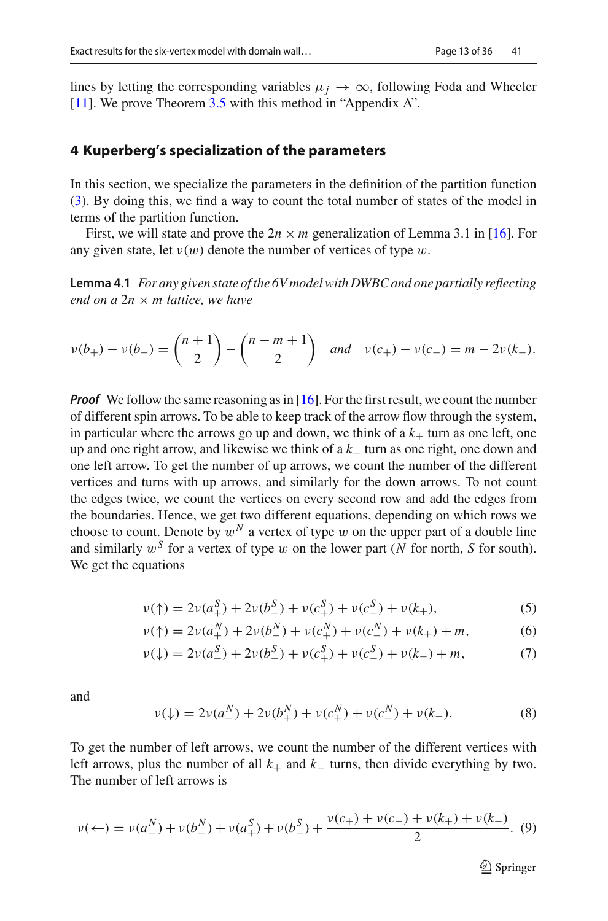lines by letting the corresponding variables  $\mu_j \to \infty$ , following Foda and Wheeler [\[11](#page-36-2)]. We prove Theorem [3.5](#page-10-0) with this method in "Appendix A".

#### <span id="page-13-0"></span>**4 Kuperberg's specialization of the parameters**

In this section, we specialize the parameters in the definition of the partition function [\(3\)](#page-5-1). By doing this, we find a way to count the total number of states of the model in terms of the partition function.

<span id="page-13-4"></span>First, we will state and prove the  $2n \times m$  generalization of Lemma 3.1 in [\[16](#page-36-7)]. For any given state, let  $v(w)$  denote the number of vertices of type w.

**Lemma 4.1** *For any given state of the 6V model with DWBC and one partially reflecting end on a* 2*n* × *m lattice, we have*

$$
\nu(b_+) - \nu(b_-) = \binom{n+1}{2} - \binom{n-m+1}{2} \quad \text{and} \quad \nu(c_+) - \nu(c_-) = m - 2\nu(k_-).
$$

*Proof* We follow the same reasoning as in [\[16](#page-36-7)]. For the first result, we count the number of different spin arrows. To be able to keep track of the arrow flow through the system, in particular where the arrows go up and down, we think of a  $k_{+}$  turn as one left, one up and one right arrow, and likewise we think of a *k*<sup>−</sup> turn as one right, one down and one left arrow. To get the number of up arrows, we count the number of the different vertices and turns with up arrows, and similarly for the down arrows. To not count the edges twice, we count the vertices on every second row and add the edges from the boundaries. Hence, we get two different equations, depending on which rows we choose to count. Denote by  $w^N$  a vertex of type w on the upper part of a double line and similarly  $w^S$  for a vertex of type w on the lower part (N for north, S for south). We get the equations

<span id="page-13-1"></span>
$$
\nu(\uparrow) = 2\nu(a_+^S) + 2\nu(b_+^S) + \nu(c_+^S) + \nu(c_-^S) + \nu(k_+),\tag{5}
$$

$$
\nu(\uparrow) = 2\nu(a_+^N) + 2\nu(b_-^N) + \nu(c_+^N) + \nu(c_-^N) + \nu(k_+) + m,\tag{6}
$$

$$
\nu(\downarrow) = 2\nu(a_-^S) + 2\nu(b_-^S) + \nu(c_+^S) + \nu(c_-^S) + \nu(k_-) + m,\tag{7}
$$

and

<span id="page-13-2"></span>
$$
\nu(\downarrow) = 2\nu(a_{-}^{N}) + 2\nu(b_{+}^{N}) + \nu(c_{+}^{N}) + \nu(c_{-}^{N}) + \nu(k_{-}).
$$
\n(8)

To get the number of left arrows, we count the number of the different vertices with left arrows, plus the number of all  $k_+$  and  $k_-$  turns, then divide everything by two. The number of left arrows is

<span id="page-13-3"></span>
$$
\nu(\leftarrow) = \nu(a_{-}^{N}) + \nu(b_{-}^{N}) + \nu(a_{+}^{S}) + \nu(b_{-}^{S}) + \frac{\nu(c_{+}) + \nu(c_{-}) + \nu(k_{+}) + \nu(k_{-})}{2}.
$$
 (9)

 $\mathcal{D}$  Springer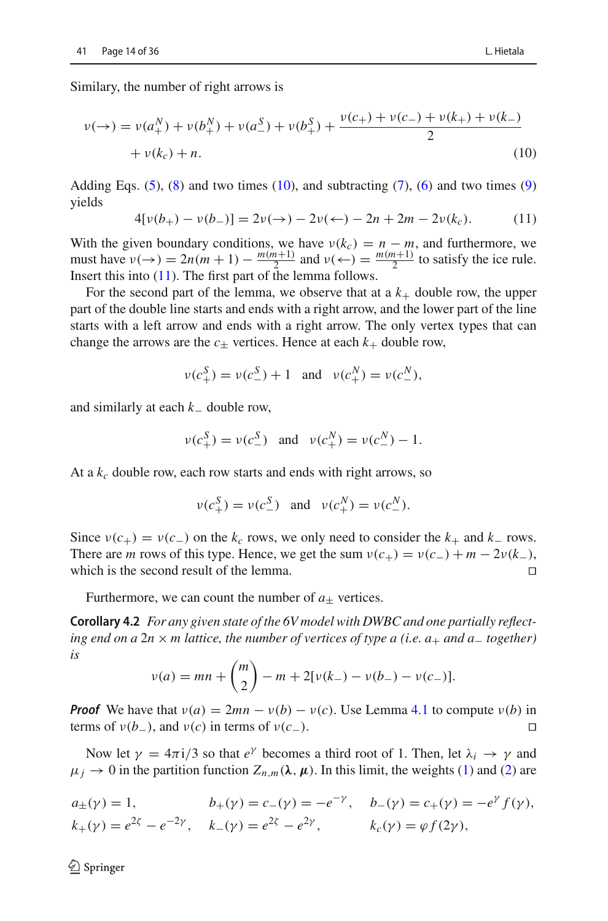Similary, the number of right arrows is

$$
\nu(\rightarrow) = \nu(a_+^N) + \nu(b_+^N) + \nu(a_-^S) + \nu(b_+^S) + \frac{\nu(c_+) + \nu(c_-) + \nu(k_+) + \nu(k_-)}{2}
$$
  
+  $\nu(k_c) + n$ . (10)

Adding Eqs.  $(5)$ ,  $(8)$  and two times  $(10)$ , and subtracting  $(7)$ ,  $(6)$  and two times  $(9)$ yields

<span id="page-14-1"></span><span id="page-14-0"></span>
$$
4[\nu(b_+) - \nu(b_-)] = 2\nu(\to) - 2\nu(\leftarrow) - 2n + 2m - 2\nu(k_c). \tag{11}
$$

With the given boundary conditions, we have  $v(k_c) = n - m$ , and furthermore, we must have  $v(\rightarrow) = 2n(m+1) - \frac{m(m+1)}{2}$  and  $v(\leftarrow) = \frac{m(m+1)}{2}$  to satisfy the ice rule. Insert this into  $(11)$ . The first part of the lemma follows.

For the second part of the lemma, we observe that at  $a \, k_+$  double row, the upper part of the double line starts and ends with a right arrow, and the lower part of the line starts with a left arrow and ends with a right arrow. The only vertex types that can change the arrows are the  $c_{\pm}$  vertices. Hence at each  $k_{+}$  double row,

$$
\nu(c_+^S) = \nu(c_-^S) + 1
$$
 and  $\nu(c_+^N) = \nu(c_-^N)$ ,

and similarly at each *k*<sup>−</sup> double row,

$$
\nu(c^S_+) = \nu(c^S_-)
$$
 and  $\nu(c^N_+) = \nu(c^N_-) - 1$ .

At a  $k_c$  double row, each row starts and ends with right arrows, so

<span id="page-14-2"></span>
$$
\nu(c_+^S) = \nu(c_-^S)
$$
 and  $\nu(c_+^N) = \nu(c_-^N)$ .

Since  $v(c_{+}) = v(c_{-})$  on the  $k_c$  rows, we only need to consider the  $k_{+}$  and  $k_{-}$  rows. There are *m* rows of this type. Hence, we get the sum  $v(c_{+}) = v(c_{-}) + m - 2v(k_{-})$ , which is the second result of the lemma. which is the second result of the lemma. 

Furthermore, we can count the number of  $a_{\pm}$  vertices.

**Corollary 4.2** *For any given state of the 6V model with DWBC and one partially reflecting end on a* 2*n* × *m lattice, the number of vertices of type a (i.e. a*<sup>+</sup> *and a*<sup>−</sup> *together) is*

$$
\nu(a) = mn + \binom{m}{2} - m + 2[\nu(k_-) - \nu(b_-) - \nu(c_-)].
$$

*Proof* We have that  $v(a) = 2mn - v(b) - v(c)$ . Use Lemma [4.1](#page-13-4) to compute  $v(b)$  in terms of  $v(b_-)$ , and  $v(c)$  in terms of  $v(c_-)$ .

Now let  $\gamma = 4\pi i/3$  so that  $e^{\gamma}$  becomes a third root of 1. Then, let  $\lambda_i \rightarrow \gamma$  and  $\mu_j \to 0$  in the partition function  $Z_{n,m}(\lambda, \mu)$ . In this limit, the weights [\(1\)](#page-4-1) and [\(2\)](#page-4-1) are

$$
a_{\pm}(\gamma) = 1,
$$
  $b_{+}(\gamma) = c_{-}(\gamma) = -e^{-\gamma},$   $b_{-}(\gamma) = c_{+}(\gamma) = -e^{\gamma} f(\gamma),$   
\n $k_{+}(\gamma) = e^{2\zeta} - e^{-2\gamma},$   $k_{-}(\gamma) = e^{2\zeta} - e^{2\gamma},$   $k_{c}(\gamma) = \varphi f(2\gamma),$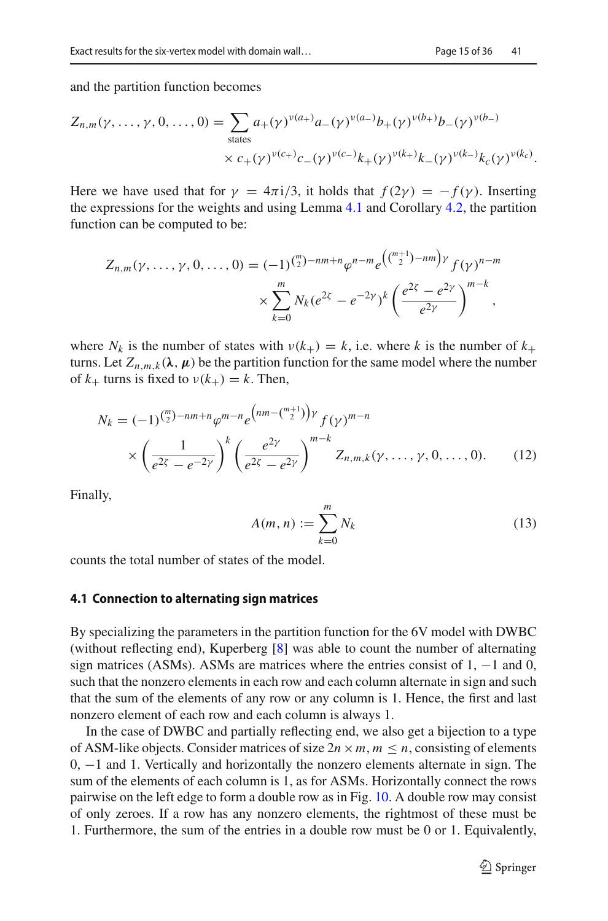$$
Z_{n,m}(\gamma,\ldots,\gamma,0,\ldots,0) = \sum_{\text{states}} a_{+}(\gamma)^{\nu(a_{+})} a_{-}(\gamma)^{\nu(a_{-})} b_{+}(\gamma)^{\nu(b_{+})} b_{-}(\gamma)^{\nu(b_{-})}
$$

$$
\times c_{+}(\gamma)^{\nu(c_{+})} c_{-}(\gamma)^{\nu(c_{-})} k_{+}(\gamma)^{\nu(k_{+})} k_{-}(\gamma)^{\nu(k_{-})} k_{c}(\gamma)^{\nu(k_{c})}.
$$

Here we have used that for  $\gamma = 4\pi i/3$ , it holds that  $f(2\gamma) = -f(\gamma)$ . Inserting the expressions for the weights and using Lemma [4.1](#page-13-4) and Corollary [4.2,](#page-14-2) the partition function can be computed to be:

$$
Z_{n,m}(\gamma,\ldots,\gamma,0,\ldots,0) = (-1)^{\binom{m}{2}-nm+n} \varphi^{n-m} e^{\left(\binom{m+1}{2}-nm\right)\gamma} f(\gamma)^{n-m}
$$

$$
\times \sum_{k=0}^{m} N_k (e^{2\zeta} - e^{-2\gamma})^k \left(\frac{e^{2\zeta} - e^{2\gamma}}{e^{2\gamma}}\right)^{m-k},
$$

where  $N_k$  is the number of states with  $v(k_+) = k$ , i.e. where k is the number of  $k_+$ turns. Let  $Z_{n,m,k}(\lambda, \mu)$  be the partition function for the same model where the number of  $k_{+}$  turns is fixed to  $v(k_{+}) = k$ . Then,

$$
N_k = (-1)^{\binom{m}{2} - nm + n} \varphi^{m-n} e^{\binom{nm - \binom{m+1}{2}} \gamma} f(\gamma)^{m-n}
$$
  
 
$$
\times \left( \frac{1}{e^{2\zeta} - e^{-2\gamma}} \right)^k \left( \frac{e^{2\gamma}}{e^{2\zeta} - e^{2\gamma}} \right)^{m-k} Z_{n,m,k}(\gamma, \dots, \gamma, 0, \dots, 0). \tag{12}
$$

Finally,

<span id="page-15-1"></span><span id="page-15-0"></span>
$$
A(m,n) := \sum_{k=0}^{m} N_k \tag{13}
$$

counts the total number of states of the model.

#### <span id="page-15-2"></span>**4.1 Connection to alternating sign matrices**

By specializing the parameters in the partition function for the 6V model with DWBC (without reflecting end), Kuperberg [\[8](#page-35-7)] was able to count the number of alternating sign matrices (ASMs). ASMs are matrices where the entries consist of 1,  $-1$  and 0, such that the nonzero elements in each row and each column alternate in sign and such that the sum of the elements of any row or any column is 1. Hence, the first and last nonzero element of each row and each column is always 1.

In the case of DWBC and partially reflecting end, we also get a bijection to a type of ASM-like objects. Consider matrices of size  $2n \times m$ ,  $m \leq n$ , consisting of elements 0, −1 and 1. Vertically and horizontally the nonzero elements alternate in sign. The sum of the elements of each column is 1, as for ASMs. Horizontally connect the rows pairwise on the left edge to form a double row as in Fig. [10.](#page-16-0) A double row may consist of only zeroes. If a row has any nonzero elements, the rightmost of these must be 1. Furthermore, the sum of the entries in a double row must be 0 or 1. Equivalently,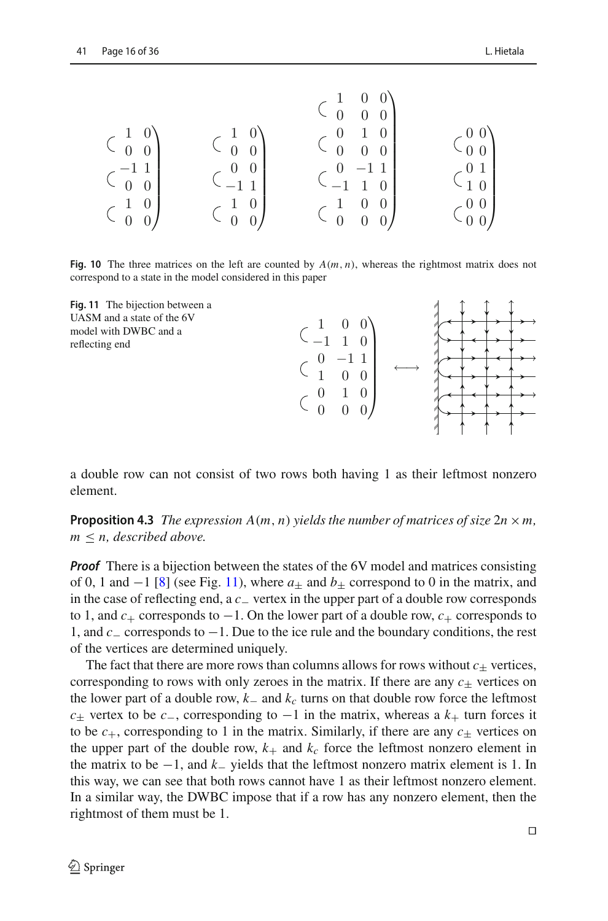|                                                 |                                                         | $\begin{matrix} 1 \\ 0 \end{matrix}$             |                                                        |
|-------------------------------------------------|---------------------------------------------------------|--------------------------------------------------|--------------------------------------------------------|
| $1 \quad 0$                                     | $\begin{smallmatrix} 1 & 0 \\ 0 & 0 \end{smallmatrix}$  | $\overline{0}$<br>$\theta$                       |                                                        |
| $\overline{0}$<br>$\overline{0}$                |                                                         |                                                  |                                                        |
| $-11$                                           | $\begin{smallmatrix} 0 & 0 \\ -1 & 1 \end{smallmatrix}$ |                                                  | $\begin{smallmatrix} 0 & 1 \\ 1 & 0 \end{smallmatrix}$ |
| $\begin{array}{ccc} 0 & 0 \\ 1 & 0 \end{array}$ |                                                         | $\begin{pmatrix} 0 & -1 \\ -1 & 1 \end{pmatrix}$ |                                                        |
|                                                 | $\begin{array}{cc} 1 & 0 \\ 0 & 0 \end{array}$          | $\overline{0}$                                   |                                                        |
| $\boldsymbol{0}$                                |                                                         |                                                  |                                                        |

<span id="page-16-0"></span>**Fig. 10** The three matrices on the left are counted by  $A(m, n)$ , whereas the rightmost matrix does not correspond to a state in the model considered in this paper

 $\setminus$ 

 $\sqrt{ }$ 

←→

<span id="page-16-1"></span>



<span id="page-16-2"></span>**Proposition 4.3** *The expression*  $A(m, n)$  *yields the number of matrices of size*  $2n \times m$ , *m* ≤ *n, described above.*

*Proof* There is a bijection between the states of the 6V model and matrices consisting of 0, 1 and  $-1$  [\[8\]](#page-35-7) (see Fig. [11\)](#page-16-1), where  $a_{+}$  and  $b_{+}$  correspond to 0 in the matrix, and in the case of reflecting end, a *c*<sup>−</sup> vertex in the upper part of a double row corresponds to 1, and  $c_+$  corresponds to −1. On the lower part of a double row,  $c_+$  corresponds to 1, and *c*<sup>−</sup> corresponds to −1. Due to the ice rule and the boundary conditions, the rest of the vertices are determined uniquely.

The fact that there are more rows than columns allows for rows without  $c_{\pm}$  vertices, corresponding to rows with only zeroes in the matrix. If there are any  $c_{+}$  vertices on the lower part of a double row, *k*<sup>−</sup> and *kc* turns on that double row force the leftmost *c*+ vertex to be *c*−, corresponding to  $-1$  in the matrix, whereas a  $k_{+}$  turn forces it to be  $c_{+}$ , corresponding to 1 in the matrix. Similarly, if there are any  $c_{+}$  vertices on the upper part of the double row,  $k_{+}$  and  $k_{c}$  force the leftmost nonzero element in the matrix to be −1, and *k*<sup>−</sup> yields that the leftmost nonzero matrix element is 1. In this way, we can see that both rows cannot have 1 as their leftmost nonzero element. In a similar way, the DWBC impose that if a row has any nonzero element, then the rightmost of them must be 1.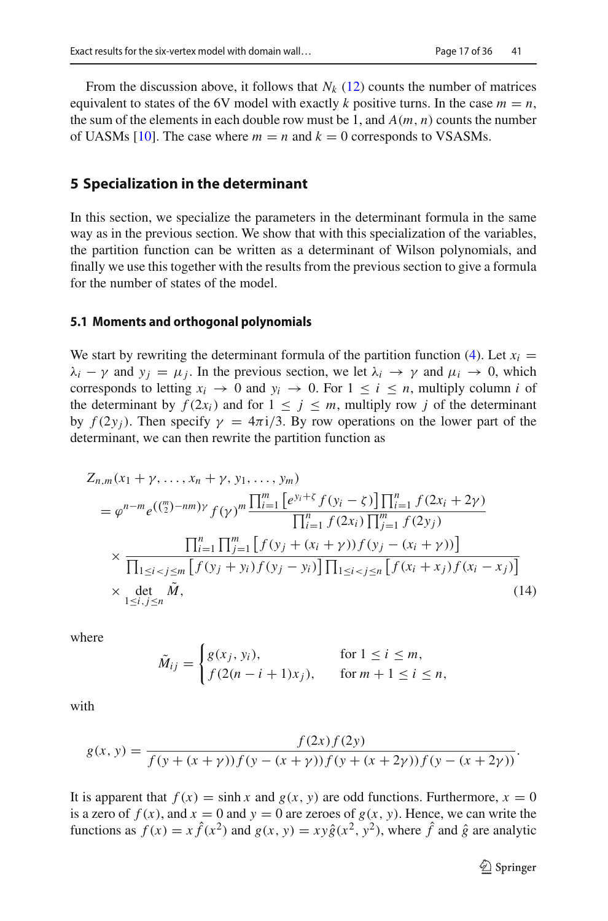From the discussion above, it follows that  $N_k$  [\(12\)](#page-15-0) counts the number of matrices equivalent to states of the 6V model with exactly *k* positive turns. In the case  $m = n$ , the sum of the elements in each double row must be 1, and  $A(m, n)$  counts the number of UASMs [\[10\]](#page-36-1). The case where  $m = n$  and  $k = 0$  corresponds to VSASMs.

#### <span id="page-17-0"></span>**5 Specialization in the determinant**

In this section, we specialize the parameters in the determinant formula in the same way as in the previous section. We show that with this specialization of the variables, the partition function can be written as a determinant of Wilson polynomials, and finally we use this together with the results from the previous section to give a formula for the number of states of the model.

#### **5.1 Moments and orthogonal polynomials**

We start by rewriting the determinant formula of the partition function [\(4\)](#page-10-2). Let  $x_i$  $\lambda_i - \gamma$  and  $y_i = \mu_i$ . In the previous section, we let  $\lambda_i \to \gamma$  and  $\mu_i \to 0$ , which corresponds to letting  $x_i \rightarrow 0$  and  $y_i \rightarrow 0$ . For  $1 \le i \le n$ , multiply column *i* of the determinant by  $f(2x_i)$  and for  $1 \leq j \leq m$ , multiply row *j* of the determinant by  $f(2y_i)$ . Then specify  $\gamma = 4\pi i/3$ . By row operations on the lower part of the determinant, we can then rewrite the partition function as

$$
Z_{n,m}(x_1 + \gamma, ..., x_n + \gamma, y_1, ..., y_m)
$$
  
\n
$$
= \varphi^{n-m} e^{\left(\binom{m}{2} - nm\right)\gamma} f(\gamma)^m \frac{\prod_{i=1}^m \left[e^{y_i + \zeta} f(y_i - \zeta)\right] \prod_{i=1}^n f(2x_i + 2\gamma)}{\prod_{i=1}^n f(2x_i) \prod_{j=1}^m f(2y_j)}
$$
  
\n
$$
\times \frac{\prod_{i=1}^n \prod_{j=1}^m \left[f(y_j + (x_i + \gamma))f(y_j - (x_i + \gamma))\right]}{\prod_{1 \le i < j \le m} \left[f(y_j + y_i)f(y_j - y_i)\right] \prod_{1 \le i < j \le n} \left[f(x_i + x_j)f(x_i - x_j)\right]}
$$
  
\n
$$
\times \det_{1 \le i, j \le n} \tilde{M},
$$
\n(14)

where

<span id="page-17-1"></span>
$$
\tilde{M}_{ij} = \begin{cases} g(x_j, y_i), & \text{for } 1 \le i \le m, \\ f(2(n-i+1)x_j), & \text{for } m+1 \le i \le n, \end{cases}
$$

with

$$
g(x, y) = \frac{f(2x) f(2y)}{f(y + (x + \gamma))f(y - (x + \gamma))f(y + (x + 2\gamma))f(y - (x + 2\gamma))}.
$$

It is apparent that  $f(x) = \sinh x$  and  $g(x, y)$  are odd functions. Furthermore,  $x = 0$ is a zero of  $f(x)$ , and  $x = 0$  and  $y = 0$  are zeroes of  $g(x, y)$ . Hence, we can write the functions as  $f(x) = x \hat{f}(x^2)$  and  $g(x, y) = xy \hat{g}(x^2, y^2)$ , where  $\hat{f}$  and  $\hat{g}$  are analytic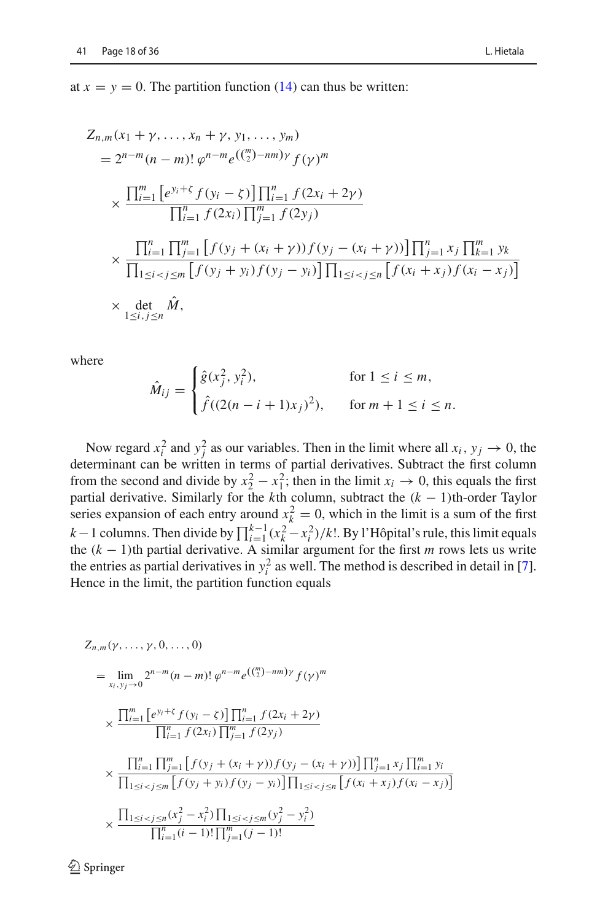at  $x = y = 0$ . The partition function [\(14\)](#page-17-1) can thus be written:

$$
Z_{n,m}(x_1 + \gamma, \dots, x_n + \gamma, y_1, \dots, y_m)
$$
  
=  $2^{n-m}(n-m)!\,\varphi^{n-m}e^{\left(\binom{m}{2}-nm\right)\gamma}f(\gamma)^m$   
 $\times \frac{\prod_{i=1}^m \left[e^{y_i + \zeta}f(y_i - \zeta)\right] \prod_{i=1}^n f(2x_i + 2\gamma)}{\prod_{i=1}^n f(2x_i) \prod_{j=1}^m f(2y_j)}$   
 $\times \frac{\prod_{i=1}^n \prod_{j=1}^m \left[f(y_j + (x_i + \gamma))f(y_j - (x_i + \gamma))\right] \prod_{j=1}^n x_j \prod_{k=1}^m y_k}{\prod_{1 \le i < j \le m} \left[f(y_j + y_i)f(y_j - y_i)\right] \prod_{1 \le i < j \le n} \left[f(x_i + x_j)f(x_i - x_j)\right]}$   
 $\times \det_{1 \le i, j \le n} \hat{M},$ 

where

$$
\hat{M}_{ij} = \begin{cases}\n\hat{g}(x_j^2, y_i^2), & \text{for } 1 \le i \le m, \\
\hat{f}((2(n-i+1)x_j)^2), & \text{for } m+1 \le i \le n.\n\end{cases}
$$

Now regard  $x_i^2$  and  $y_j^2$  as our variables. Then in the limit where all  $x_i$ ,  $y_j \to 0$ , the determinant can be written in terms of partial derivatives. Subtract the first column from the second and divide by  $x_2^2 - x_1^2$ ; then in the limit  $x_i \to 0$ , this equals the first partial derivative. Similarly for the *k*th column, subtract the (*k* − 1)th-order Taylor series expansion of each entry around  $x_k^2 = 0$ , which in the limit is a sum of the first *k* − 1 columns. Then divide by  $\prod_{i=1}^{k-1} (x_k^2 - x_i^2) / k!$ . By l'Hôpital's rule, this limit equals the  $(k - 1)$ th partial derivative. A similar argument for the first *m* rows lets us write the entries as partial derivatives in  $y_i^2$  as well. The method is described in detail in [\[7](#page-35-6)]. Hence in the limit, the partition function equals

$$
Z_{n,m}(\gamma,...,\gamma,0,...,0)
$$
\n
$$
= \lim_{x_i,y_j \to 0} 2^{n-m} (n-m)! \, \varphi^{n-m} e^{\left(\binom{m}{2} - nm\right) \gamma} f(\gamma)^m
$$
\n
$$
\times \frac{\prod_{i=1}^m \left[ e^{y_i + \zeta} f(y_i - \zeta) \right] \prod_{i=1}^n f(2x_i + 2\gamma)}{\prod_{i=1}^n f(2x_i) \prod_{j=1}^m f(2y_j)}
$$
\n
$$
\times \frac{\prod_{i=1}^n \prod_{j=1}^m \left[ f(y_j + (x_i + \gamma)) f(y_j - (x_i + \gamma)) \right] \prod_{j=1}^n x_j \prod_{i=1}^m y_i}{\prod_{1 \le i < j \le m} \left[ f(y_j + y_i) f(y_j - y_i) \right] \prod_{1 \le i < j \le n} \left[ f(x_i + x_j) f(x_i - x_j) \right]}
$$
\n
$$
\times \frac{\prod_{1 \le i < j \le n} (x_j^2 - x_i^2) \prod_{1 \le i < j \le m} (y_j^2 - y_i^2)}{\prod_{i=1}^n (i-1)! \prod_{j=1}^m (j-1)!}
$$

 $\mathcal{D}$  Springer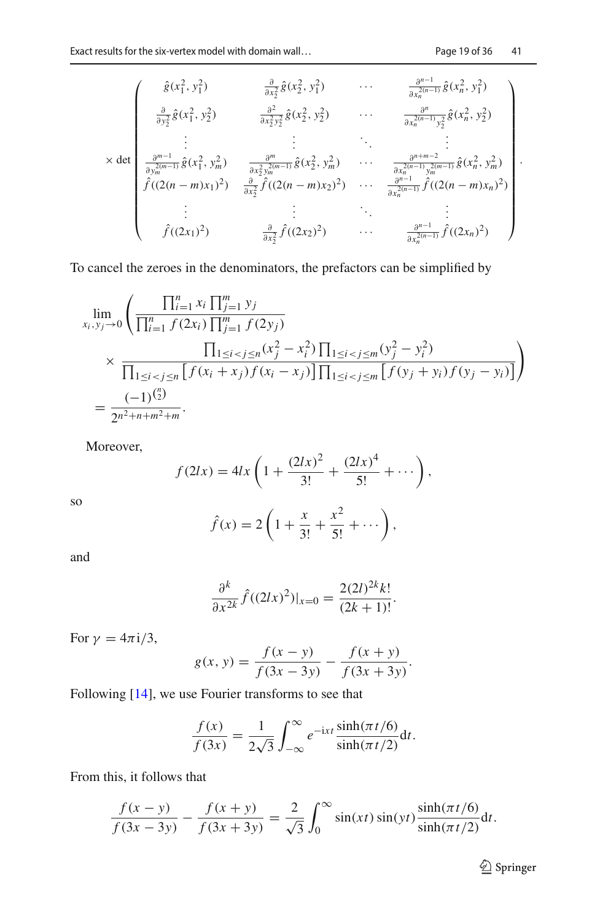.

$$
\times \det \begin{pmatrix} \hat{g}(x_1^2, y_1^2) & \frac{\partial}{\partial x_2^2} \hat{g}(x_2^2, y_1^2) & \cdots & \frac{\partial^{n-1}}{\partial x_n^{2(n-1)}} \hat{g}(x_n^2, y_1^2) \\ \frac{\partial}{\partial y_2^2} \hat{g}(x_1^2, y_2^2) & \frac{\partial^2}{\partial x_2^2 y_2^2} \hat{g}(x_2^2, y_2^2) & \cdots & \frac{\partial^n}{\partial x_n^{2(n-1)}} y_2^2 \hat{g}(x_n^2, y_2^2) \\ \vdots & \vdots & \ddots & \vdots \\ \frac{\partial^{m-1}}{\partial y_m^{2(m-1)}} \hat{g}(x_1^2, y_m^2) & \frac{\partial^m}{\partial x_2^2 y_m^{2(m-1)}} \hat{g}(x_2^2, y_m^2) & \cdots & \frac{\partial^{n+m-2}}{\partial x_n^{2(n-1)}} \hat{g}(x_n^2, y_m^2) \\ \hat{f}((2(n-m)x_1)^2) & \frac{\partial}{\partial x_2^2} \hat{f}((2(n-m)x_2)^2) & \cdots & \frac{\partial^{n-1}}{\partial x_n^{2(n-1)}} \hat{f}((2(n-m)x_n)^2) \\ \vdots & \vdots & \ddots & \vdots \\ \hat{f}((2x_1)^2) & \frac{\partial}{\partial x_2^2} \hat{f}((2x_2)^2) & \cdots & \frac{\partial^{n-1}}{\partial x_n^{2(n-1)}} \hat{f}((2x_n)^2) \end{pmatrix}
$$

To cancel the zeroes in the denominators, the prefactors can be simplified by

$$
\lim_{x_i, y_j \to 0} \left( \frac{\prod_{i=1}^n x_i \prod_{j=1}^m y_j}{\prod_{i=1}^n f(2x_i) \prod_{j=1}^m f(2y_j)} \times \frac{\prod_{1 \le i < j \le n} (x_j^2 - x_i^2) \prod_{1 \le i < j \le m} (y_j^2 - y_i^2)}{\prod_{1 \le i < j \le n} \left[ f(x_i + x_j) f(x_i - x_j) \right] \prod_{1 \le i < j \le m} \left[ f(y_j + y_i) f(y_j - y_i) \right]} \right) = \frac{(-1)^{\binom{n}{2}}}{2^{n^2 + n + m^2 + m}}.
$$

Moreover,

$$
f(2lx) = 4lx \left( 1 + \frac{(2lx)^2}{3!} + \frac{(2lx)^4}{5!} + \cdots \right),
$$

so

$$
\hat{f}(x) = 2\left(1 + \frac{x}{3!} + \frac{x^2}{5!} + \cdots\right),
$$

and

$$
\frac{\partial^k}{\partial x^{2k}} \hat{f}((2lx)^2)|_{x=0} = \frac{2(2l)^{2k}k!}{(2k+1)!}.
$$

For  $\gamma = 4\pi i/3$ ,

$$
g(x, y) = \frac{f(x - y)}{f(3x - 3y)} - \frac{f(x + y)}{f(3x + 3y)}.
$$

Following [\[14](#page-36-5)], we use Fourier transforms to see that

$$
\frac{f(x)}{f(3x)} = \frac{1}{2\sqrt{3}} \int_{-\infty}^{\infty} e^{-ixt} \frac{\sinh(\pi t/6)}{\sinh(\pi t/2)} dt.
$$

From this, it follows that

$$
\frac{f(x - y)}{f(3x - 3y)} - \frac{f(x + y)}{f(3x + 3y)} = \frac{2}{\sqrt{3}} \int_0^\infty \sin(xt) \sin(yt) \frac{\sinh(\pi t/6)}{\sinh(\pi t/2)} dt.
$$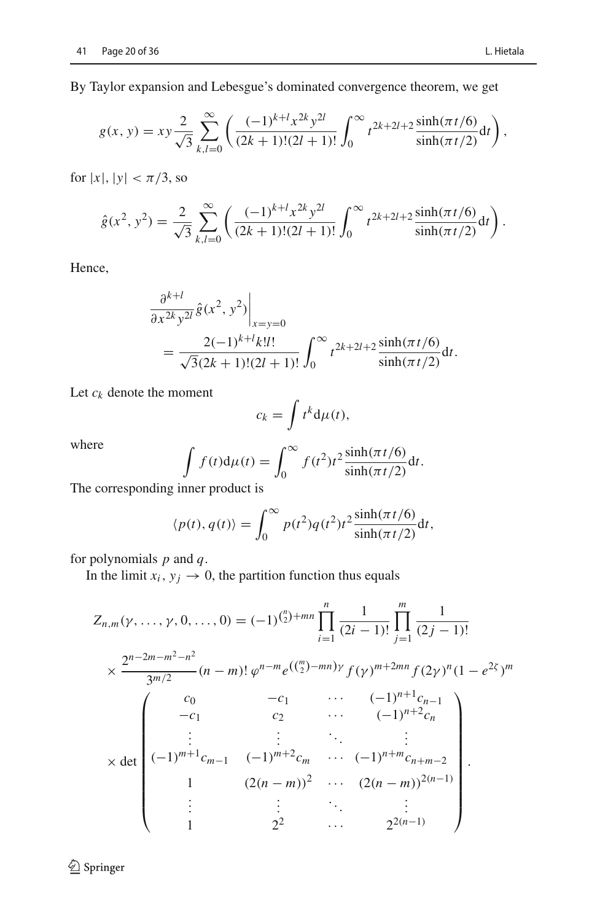By Taylor expansion and Lebesgue's dominated convergence theorem, we get

$$
g(x, y) = xy \frac{2}{\sqrt{3}} \sum_{k,l=0}^{\infty} \left( \frac{(-1)^{k+l} x^{2k} y^{2l}}{(2k+1)!(2l+1)!} \int_0^{\infty} t^{2k+2l+2} \frac{\sinh(\pi t/6)}{\sinh(\pi t/2)} dt \right),
$$

for  $|x|, |y| < \pi/3$ , so

$$
\hat{g}(x^2, y^2) = \frac{2}{\sqrt{3}} \sum_{k,l=0}^{\infty} \left( \frac{(-1)^{k+l} x^{2k} y^{2l}}{(2k+1)!(2l+1)!} \int_0^{\infty} t^{2k+2l+2} \frac{\sinh(\pi t/6)}{\sinh(\pi t/2)} dt \right).
$$

Hence,

$$
\frac{\partial^{k+l}}{\partial x^{2k}y^{2l}} \hat{g}(x^2, y^2)\Big|_{x=y=0}
$$
  
= 
$$
\frac{2(-1)^{k+l}k!l!}{\sqrt{3}(2k+1)!(2l+1)!} \int_0^\infty t^{2k+2l+2} \frac{\sinh(\pi t/6)}{\sinh(\pi t/2)} dt.
$$

Let *ck* denote the moment

$$
c_k = \int t^k \mathrm{d}\mu(t),
$$

where

$$
\int f(t) d\mu(t) = \int_0^\infty f(t^2) t^2 \frac{\sinh(\pi t/6)}{\sinh(\pi t/2)} dt.
$$

The corresponding inner product is

$$
\langle p(t), q(t) \rangle = \int_0^\infty p(t^2) q(t^2) t^2 \frac{\sinh(\pi t/6)}{\sinh(\pi t/2)} dt,
$$

for polynomials *p* and *q*.

In the limit  $x_i$ ,  $y_j \rightarrow 0$ , the partition function thus equals

$$
Z_{n,m}(\gamma, \ldots, \gamma, 0, \ldots, 0) = (-1)^{\binom{n}{2}+mn} \prod_{i=1}^{n} \frac{1}{(2i-1)!} \prod_{j=1}^{m} \frac{1}{(2j-1)!}
$$
  

$$
\times \frac{2^{n-2m-m^2-n^2}}{3^{m/2}} (n-m)! \varphi^{n-m} e^{\left(\binom{m}{2}-mn\right)\gamma} f(\gamma)^{m+2mn} f(2\gamma)^n (1-e^{2\zeta})^m
$$
  

$$
-c_1 \qquad \cdots \qquad (-1)^{n+1} c_{n-1}
$$
  

$$
\vdots \qquad \vdots \qquad \cdots \qquad (-1)^{n+2} c_n
$$
  

$$
\vdots \qquad \vdots \qquad \cdots \qquad (-1)^{n+2} c_{n+m-2}
$$
  

$$
1 \qquad (2(n-m))^2 \qquad \cdots \qquad (2(n-m))^{2(n-1)}
$$
  

$$
\vdots \qquad \vdots \qquad \ddots \qquad \vdots
$$
  

$$
1 \qquad \qquad 2^2 \qquad \cdots \qquad 2^{2(n-1)}
$$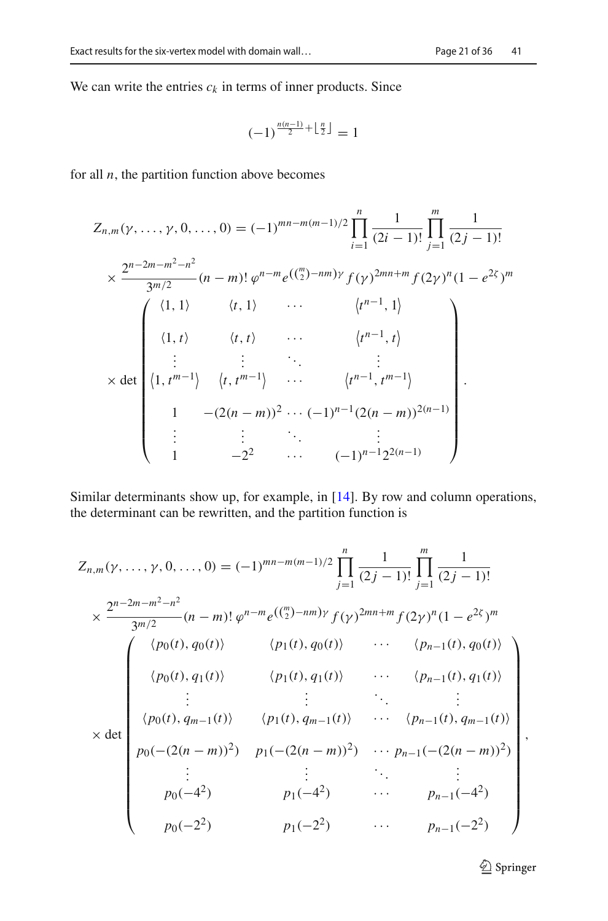We can write the entries  $c_k$  in terms of inner products. Since

$$
(-1)^{\frac{n(n-1)}{2} + \left\lfloor \frac{n}{2} \right\rfloor} = 1
$$

for all  $n$ , the partition function above becomes

$$
Z_{n,m}(\gamma, \ldots, \gamma, 0, \ldots, 0) = (-1)^{mn-m(m-1)/2} \prod_{i=1}^{n} \frac{1}{(2i-1)!} \prod_{j=1}^{m} \frac{1}{(2j-1)!}
$$
  
\n
$$
\times \frac{2^{n-2m-m^2-n^2}}{3^{m/2}} (n-m)! \varphi^{n-m} e^{\left(\binom{m}{2}-nm\right)\gamma} f(\gamma)^{2mn+m} f(2\gamma)^n (1-e^{2\zeta})^m
$$
  
\n
$$
\begin{pmatrix} \langle 1, 1 \rangle & \langle t, 1 \rangle & \cdots & \langle t^{n-1}, 1 \rangle \\ \langle 1, t \rangle & \langle t, t \rangle & \cdots & \langle t^{n-1}, t \rangle \\ \vdots & \vdots & \ddots & \vdots \\ \langle 1, t^{m-1} \rangle & \langle t, t^{m-1} \rangle & \cdots & \langle t^{n-1}, t^{m-1} \rangle \\ 1 & -(2(n-m))^2 \cdots (-1)^{n-1} (2(n-m))^{2(n-1)} \\ \vdots & \vdots & \ddots & \vdots \\ 1 & -2^2 & \cdots & (-1)^{n-1} 2^{2(n-1)} \end{pmatrix}.
$$

Similar determinants show up, for example, in [\[14](#page-36-5)]. By row and column operations, the determinant can be rewritten, and the partition function is

$$
Z_{n,m}(\gamma, \ldots, \gamma, 0, \ldots, 0) = (-1)^{mn-m(m-1)/2} \prod_{j=1}^{n} \frac{1}{(2j-1)!} \prod_{j=1}^{m} \frac{1}{(2j-1)!}
$$
  
\n
$$
\times \frac{2^{n-2m-m^2-n^2}}{3^{m/2}} (n-m)! \varphi^{n-m} e^{\left(\frac{m}{2}\right-nm\right) \gamma} f(\gamma)^{2mn+m} f(2\gamma)^n (1 - e^{2\zeta})^m
$$
  
\n
$$
\begin{pmatrix} \langle p_0(t), q_0(t) \rangle & \langle p_1(t), q_0(t) \rangle & \cdots & \langle p_{n-1}(t), q_0(t) \rangle \\ \langle p_0(t), q_1(t) \rangle & \langle p_1(t), q_1(t) \rangle & \cdots & \langle p_{n-1}(t), q_1(t) \rangle \\ \vdots & \vdots & \ddots & \vdots \\ \langle p_0(t), q_{m-1}(t) \rangle & \langle p_1(t), q_{m-1}(t) \rangle & \cdots & \langle p_{n-1}(t), q_{m-1}(t) \rangle \\ p_0(-(2(n-m))^2) & p_1(-(2(n-m))^2) & \cdots & p_{n-1(-(2(n-m))^2) \\ \vdots & \vdots & \ddots & \vdots \\ p_0(-4^2) & p_1(-4^2) & \cdots & p_{n-1(-2^2) \\ p_0(-2^2) & \cdots & p_{n-1}(-2^2) \end{pmatrix}
$$

<sup>2</sup> Springer

,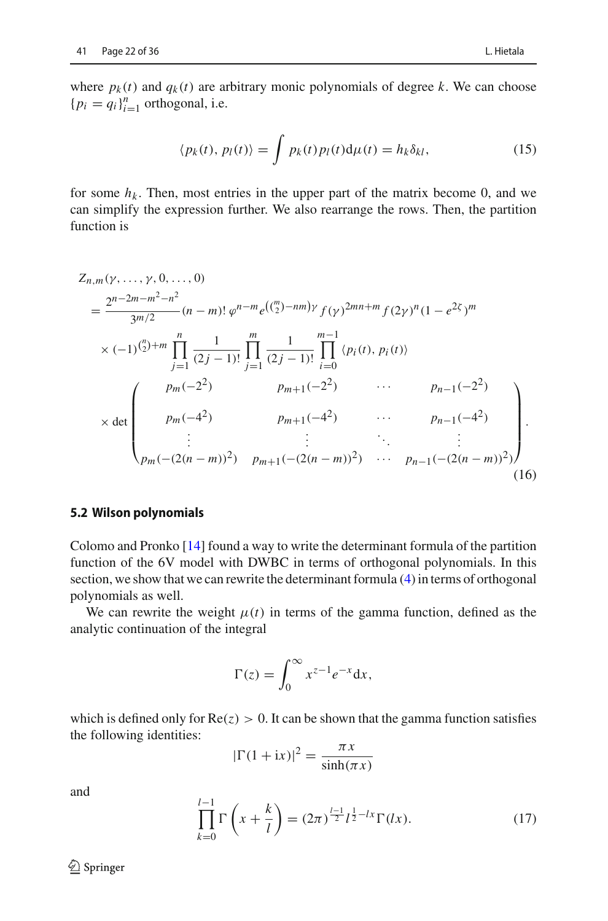where  $p_k(t)$  and  $q_k(t)$  are arbitrary monic polynomials of degree *k*. We can choose  ${p_i = q_i}_{i=1}^n$  orthogonal, i.e.

<span id="page-22-0"></span>
$$
\langle p_k(t), p_l(t) \rangle = \int p_k(t) p_l(t) \mathrm{d}\mu(t) = h_k \delta_{kl}, \tag{15}
$$

for some  $h_k$ . Then, most entries in the upper part of the matrix become 0, and we can simplify the expression further. We also rearrange the rows. Then, the partition function is

$$
Z_{n,m}(\gamma, ..., \gamma, 0, ..., 0)
$$
\n
$$
= \frac{2^{n-2m-m^2-n^2}}{3^{m/2}} (n-m)! \varphi^{n-m} e^{\left(\binom{m}{2} - nm\right) \gamma} f(\gamma)^{2mn+m} f(2\gamma)^n (1 - e^{2\zeta})^m
$$
\n
$$
\times (-1)^{\binom{n}{2}+m} \prod_{j=1}^n \frac{1}{(2j-1)!} \prod_{j=1}^m \frac{1}{(2j-1)!} \prod_{i=0}^{m-1} \langle p_i(t), p_i(t) \rangle
$$
\n
$$
= \begin{pmatrix} p_m(-2^2) & p_{m+1}(-2^2) & \cdots & p_{n-1}(-2^2) \\ p_m(-4^2) & p_{m+1}(-4^2) & \cdots & p_{n-1}(-4^2) \\ \vdots & \vdots & \ddots & \vdots \\ p_m(-(2(n-m))^2) & p_{m+1}(-(2(n-m))^2) & \cdots & p_{n-1}(-(2(n-m))^2) \end{pmatrix}.
$$
\n(16)

#### **5.2 Wilson polynomials**

Colomo and Pronko [\[14](#page-36-5)] found a way to write the determinant formula of the partition function of the 6V model with DWBC in terms of orthogonal polynomials. In this section, we show that we can rewrite the determinant formula [\(4\)](#page-10-2) in terms of orthogonal polynomials as well.

We can rewrite the weight  $\mu(t)$  in terms of the gamma function, defined as the analytic continuation of the integral

<span id="page-22-2"></span>
$$
\Gamma(z) = \int_0^\infty x^{z-1} e^{-x} \mathrm{d}x,
$$

which is defined only for  $Re(z) > 0$ . It can be shown that the gamma function satisfies the following identities:

$$
|\Gamma(1 + ix)|^2 = \frac{\pi x}{\sinh(\pi x)}
$$

and

<span id="page-22-1"></span>
$$
\prod_{k=0}^{l-1} \Gamma\left(x + \frac{k}{l}\right) = (2\pi)^{\frac{l-1}{2}} l^{\frac{1}{2} - lx} \Gamma(lx).
$$
 (17)

 $\mathcal{D}$  Springer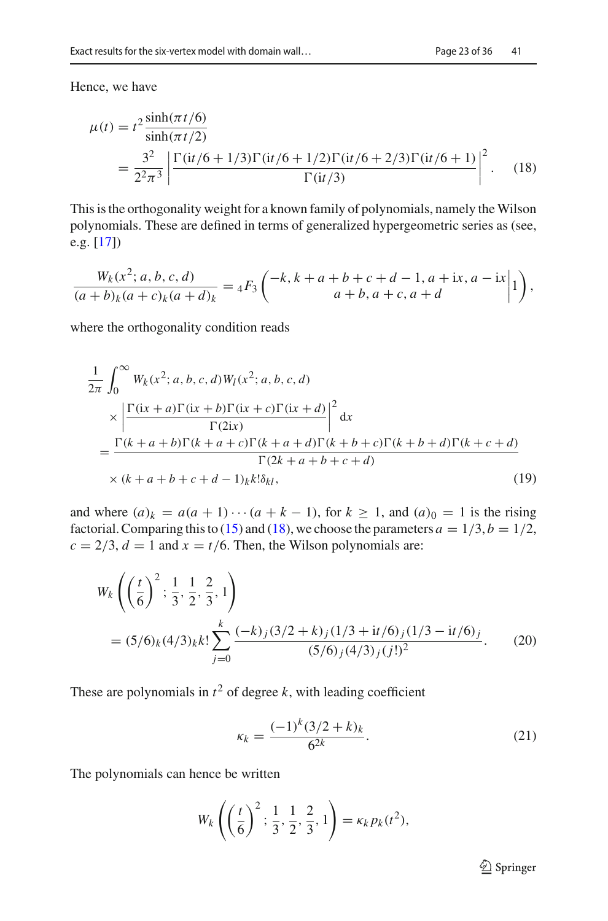Hence, we have

<span id="page-23-0"></span>
$$
\mu(t) = t^2 \frac{\sinh(\pi t/6)}{\sinh(\pi t/2)}
$$
  
= 
$$
\frac{3^2}{2^2 \pi^3} \left| \frac{\Gamma(it/6 + 1/3)\Gamma(it/6 + 1/2)\Gamma(it/6 + 2/3)\Gamma(it/6 + 1)}{\Gamma(it/3)} \right|^2
$$
. (18)

This is the orthogonality weight for a known family of polynomials, namely the Wilson polynomials. These are defined in terms of generalized hypergeometric series as (see, e.g. [\[17\]](#page-36-8))

$$
\frac{W_k(x^2; a, b, c, d)}{(a+b)_k(a+c)_k(a+d)_k} = {}_4F_3\left(\begin{matrix} -k, k+a+b+c+d-1, a+ix, a-ix \ a+b, a+c, a+d \end{matrix}\Big| 1\right),
$$

where the orthogonality condition reads

$$
\frac{1}{2\pi} \int_0^\infty W_k(x^2; a, b, c, d) W_l(x^2; a, b, c, d)
$$
\n
$$
\times \left| \frac{\Gamma(ix + a)\Gamma(ix + b)\Gamma(ix + c)\Gamma(ix + d)}{\Gamma(2ix)} \right|^2 dx
$$
\n
$$
= \frac{\Gamma(k + a + b)\Gamma(k + a + c)\Gamma(k + a + d)\Gamma(k + b + c)\Gamma(k + b + d)\Gamma(k + c + d)}{\Gamma(2k + a + b + c + d)}
$$
\n
$$
\times (k + a + b + c + d - 1)_{k} k! \delta_{kl}, \tag{19}
$$

and where  $(a)_k = a(a+1)\cdots(a+k-1)$ , for  $k \ge 1$ , and  $(a)_0 = 1$  is the rising factorial. Comparing this to [\(15\)](#page-22-0) and [\(18\)](#page-23-0), we choose the parameters  $a = 1/3$ ,  $b = 1/2$ ,  $c = 2/3$ ,  $d = 1$  and  $x = t/6$ . Then, the Wilson polynomials are:

$$
W_k \left( \left( \frac{t}{6} \right)^2; \frac{1}{3}, \frac{1}{2}, \frac{2}{3}, 1 \right)
$$
  
=  $(5/6)_k (4/3)_k k! \sum_{j=0}^k \frac{(-k)_j (3/2 + k)_j (1/3 + it/6)_j (1/3 - it/6)_j}{(5/6)_j (4/3)_j (j!)^2}$ . (20)

These are polynomials in  $t^2$  of degree k, with leading coefficient

<span id="page-23-2"></span><span id="page-23-1"></span>
$$
\kappa_k = \frac{(-1)^k (3/2 + k)_k}{6^{2k}}.
$$
\n(21)

The polynomials can hence be written

$$
W_k\left(\left(\frac{t}{6}\right)^2; \frac{1}{3}, \frac{1}{2}, \frac{2}{3}, 1\right) = \kappa_k p_k(t^2),
$$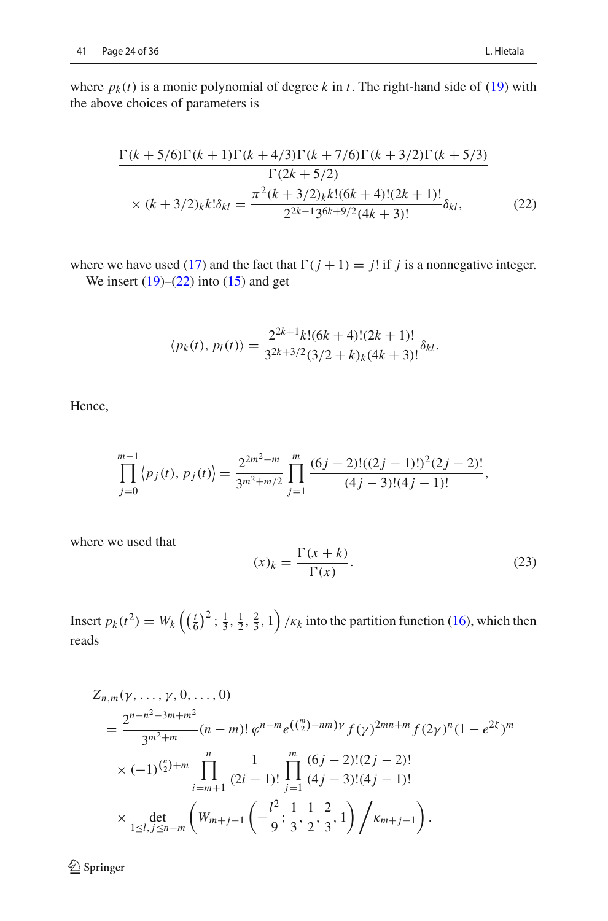where  $p_k(t)$  is a monic polynomial of degree k in t. The right-hand side of [\(19\)](#page-23-1) with the above choices of parameters is

$$
\frac{\Gamma(k+5/6)\Gamma(k+1)\Gamma(k+4/3)\Gamma(k+7/6)\Gamma(k+3/2)\Gamma(k+5/3)}{\Gamma(2k+5/2)}
$$
  
× (k+3/2)<sub>k</sub>k! $\delta_{kl} = \frac{\pi^2(k+3/2)_{k}k!(6k+4)!(2k+1)!}{2^{2k-1}3^{6k+9/2}(4k+3)!}\delta_{kl},$  (22)

where we have used [\(17\)](#page-22-1) and the fact that  $\Gamma(j + 1) = j!$  if *j* is a nonnegative integer. We insert  $(19)$ – $(22)$  into  $(15)$  and get

<span id="page-24-0"></span>
$$
\langle p_k(t), p_l(t) \rangle = \frac{2^{2k+1}k!(6k+4)!(2k+1)!}{3^{2k+3/2}(3/2+k)_k(4k+3)!} \delta_{kl}.
$$

Hence,

$$
\prod_{j=0}^{m-1} \left\langle p_j(t), \, p_j(t) \right\rangle = \frac{2^{2m^2-m}}{3^{m^2+m/2}} \prod_{j=1}^m \frac{(6j-2)!(2j-1)!)^2(2j-2)!}{(4j-3)!(4j-1)!},
$$

where we used that

<span id="page-24-1"></span>
$$
(x)_k = \frac{\Gamma(x+k)}{\Gamma(x)}.\tag{23}
$$

Insert  $p_k(t^2) = W_k\left(\left(\frac{t}{6}\right)^2; \frac{1}{3}, \frac{1}{2}, \frac{2}{3}, 1\right) / \kappa_k$  into the partition function [\(16\)](#page-22-2), which then reads

$$
Z_{n,m}(\gamma, \ldots, \gamma, 0, \ldots, 0)
$$
\n
$$
= \frac{2^{n-n^2-3m+m^2}}{3^{m^2+m}} (n-m)! \, \varphi^{n-m} e^{\left(\binom{m}{2} - nm\right) \gamma} f(\gamma)^{2mn+m} f(2\gamma)^n (1 - e^{2\zeta})^m
$$
\n
$$
\times (-1)^{\binom{n}{2}+m} \prod_{i=m+1}^n \frac{1}{(2i-1)!} \prod_{j=1}^m \frac{(6j-2)!(2j-2)!}{(4j-3)!(4j-1)!}
$$
\n
$$
\times \det_{1 \leq l, j \leq n-m} \left(W_{m+j-1}\left(-\frac{l^2}{9}; \frac{1}{3}, \frac{1}{2}, \frac{2}{3}, 1\right) / \kappa_{m+j-1}\right).
$$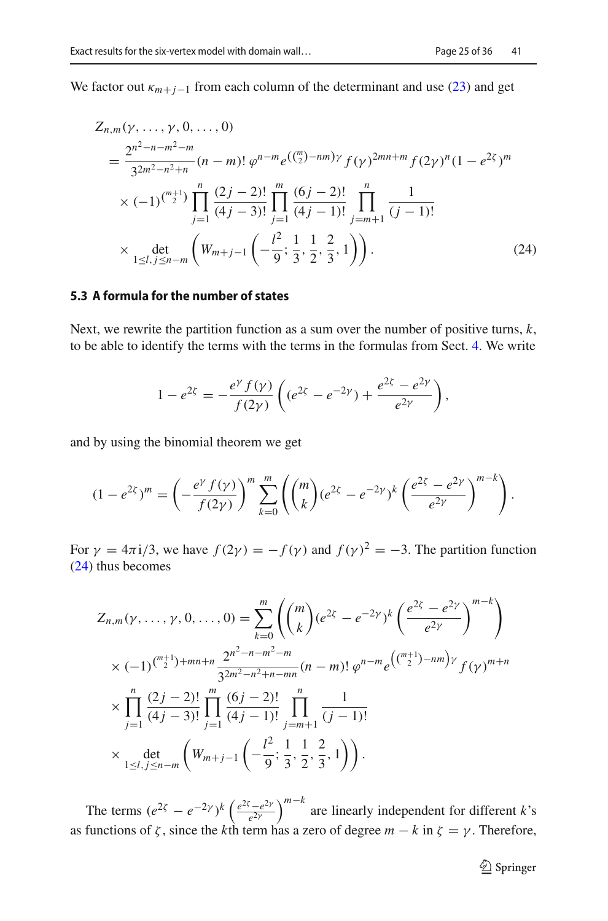We factor out  $\kappa_{m+j-1}$  from each column of the determinant and use [\(23\)](#page-24-1) and get

$$
Z_{n,m}(\gamma, \ldots, \gamma, 0, \ldots, 0)
$$
\n
$$
= \frac{2^{n^2 - n - m^2 - m}}{3^{2m^2 - n^2 + n}} (n - m)! \varphi^{n - m} e^{\left(\binom{m}{2} - n m\right) \gamma} f(\gamma)^{2mn + m} f(2\gamma)^n (1 - e^{2\zeta})^m
$$
\n
$$
\times (-1)^{\binom{m+1}{2}} \prod_{j=1}^n \frac{(2j - 2)!}{(4j - 3)!} \prod_{j=1}^m \frac{(6j - 2)!}{(4j - 1)!} \prod_{j=m+1}^n \frac{1}{(j - 1)!}
$$
\n
$$
\times \det_{1 \le l, j \le n - m} \left( W_{m+j-1} \left( -\frac{l^2}{9}; \frac{1}{3}, \frac{1}{2}, \frac{2}{3}, 1 \right) \right). \tag{24}
$$

#### **5.3 A formula for the number of states**

Next, we rewrite the partition function as a sum over the number of positive turns, *k*, to be able to identify the terms with the terms in the formulas from Sect. [4.](#page-13-0) We write

<span id="page-25-0"></span>
$$
1 - e^{2\zeta} = -\frac{e^{\gamma} f(\gamma)}{f(2\gamma)} \left( (e^{2\zeta} - e^{-2\gamma}) + \frac{e^{2\zeta} - e^{2\gamma}}{e^{2\gamma}} \right),
$$

and by using the binomial theorem we get

$$
(1 - e^{2\xi})^m = \left(-\frac{e^{\gamma} f(\gamma)}{f(2\gamma)}\right)^m \sum_{k=0}^m \left( \binom{m}{k} (e^{2\xi} - e^{-2\gamma})^k \left(\frac{e^{2\xi} - e^{2\gamma}}{e^{2\gamma}}\right)^{m-k} \right).
$$

For  $\gamma = 4\pi i/3$ , we have  $f(2\gamma) = -f(\gamma)$  and  $f(\gamma)^2 = -3$ . The partition function [\(24\)](#page-25-0) thus becomes

$$
Z_{n,m}(\gamma, \ldots, \gamma, 0, \ldots, 0) = \sum_{k=0}^{m} \left( {m \choose k} (e^{2\zeta} - e^{-2\gamma})^k \left( \frac{e^{2\zeta} - e^{2\gamma}}{e^{2\gamma}} \right)^{m-k} \right)
$$
  
 
$$
\times (-1)^{\binom{m+1}{2} + mn + n} \frac{2^{n^2 - n - m^2 - m}}{3^{2m^2 - n^2 + n - mn}} (n - m)! \varphi^{n - m} e^{\left( \binom{m+1}{2} - nm \right) \gamma} f(\gamma)^{m+n}
$$
  
 
$$
\times \prod_{j=1}^{n} \frac{(2j - 2)!}{(4j - 3)!} \prod_{j=1}^{m} \frac{(6j - 2)!}{(4j - 1)!} \prod_{j=m+1}^{n} \frac{1}{(j - 1)!}
$$
  
 
$$
\times \det_{1 \leq l, j \leq n - m} \left( W_{m+j-1} \left( -\frac{l^2}{9}; \frac{1}{3}, \frac{1}{2}, \frac{2}{3}, 1 \right) \right).
$$

The terms  $(e^{2\zeta} - e^{-2\gamma})^k \left(\frac{e^{2\zeta} - e^{2\gamma}}{e^{2\gamma}}\right)^{m-k}$  are linearly independent for different *k*'s as functions of  $\zeta$ , since the *k*th term has a zero of degree  $m - k$  in  $\zeta = \gamma$ . Therefore,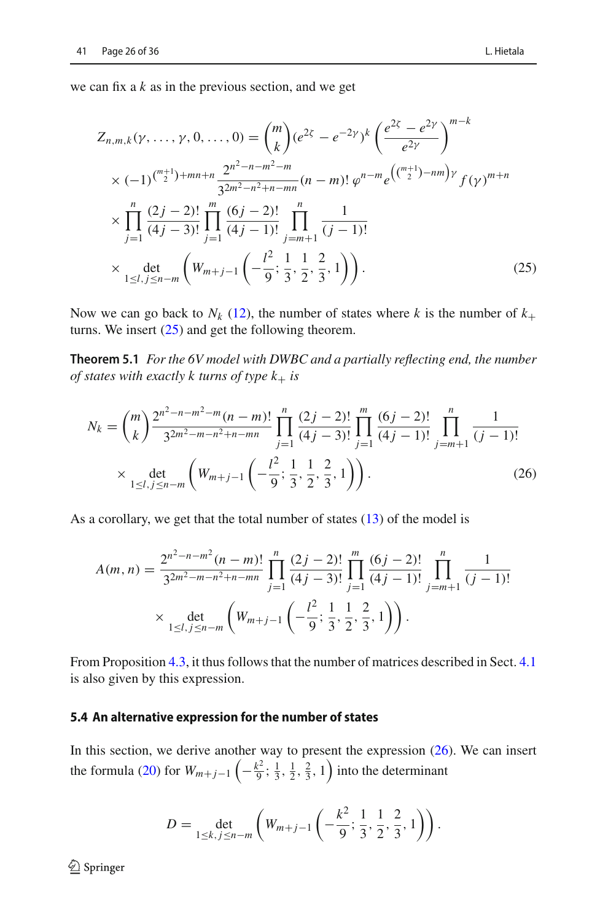we can fix a *k* as in the previous section, and we get

<span id="page-26-1"></span>
$$
Z_{n,m,k}(\gamma, \ldots, \gamma, 0, \ldots, 0) = {m \choose k} (e^{2\zeta} - e^{-2\gamma})^k \left( \frac{e^{2\zeta} - e^{2\gamma}}{e^{2\gamma}} \right)^{m-k}
$$
  
 
$$
\times (-1)^{\binom{m+1}{2} + mn + n} \frac{2^{n^2 - n - m^2 - m}}{3^{2m^2 - n^2 + n - mn}} (n - m)! \varphi^{n - m} e^{\left(\binom{m+1}{2} - nm\right) \gamma} f(\gamma)^{m+n}
$$
  
 
$$
\times \prod_{j=1}^n \frac{(2j - 2)!}{(4j - 3)!} \prod_{j=1}^m \frac{(6j - 2)!}{(4j - 1)!} \prod_{j=m+1}^n \frac{1}{(j - 1)!}
$$
  
 
$$
\times \det_{1 \le l, j \le n - m} \left( W_{m+j-1} \left( -\frac{l^2}{9}; \frac{1}{3}, \frac{1}{2}, \frac{2}{3}, 1 \right) \right).
$$
 (25)

Now we can go back to  $N_k$  [\(12\)](#page-15-0), the number of states where k is the number of  $k_+$ turns. We insert [\(25\)](#page-26-1) and get the following theorem.

**Theorem 5.1** *For the 6V model with DWBC and a partially reflecting end, the number of states with exactly k turns of type*  $k_+$  *is* 

<span id="page-26-2"></span><span id="page-26-0"></span>
$$
N_k = {m \choose k} \frac{2^{n^2 - n - m^2 - m} (n - m)!}{3^{2m^2 - m - n^2 + n - mn}} \prod_{j=1}^n \frac{(2j - 2)!}{(4j - 3)!} \prod_{j=1}^m \frac{(6j - 2)!}{(4j - 1)!} \prod_{j=m+1}^n \frac{1}{(j - 1)!}
$$
  
 
$$
\times \det_{1 \le l, j \le n - m} \left( W_{m+j-1} \left( -\frac{l^2}{9}; \frac{1}{3}, \frac{1}{2}, \frac{2}{3}, 1 \right) \right).
$$
 (26)

As a corollary, we get that the total number of states  $(13)$  of the model is

$$
A(m, n) = \frac{2^{n^2 - n - m^2} (n - m)!}{3^{2m^2 - m - n^2 + n - mn}} \prod_{j=1}^n \frac{(2j - 2)!}{(4j - 3)!} \prod_{j=1}^m \frac{(6j - 2)!}{(4j - 1)!} \prod_{j=m+1}^n \frac{1}{(j - 1)!}
$$
  
 
$$
\times \det_{1 \le l, j \le n - m} \left( W_{m+j-1} \left( -\frac{l^2}{9}; \frac{1}{3}, \frac{1}{2}, \frac{2}{3}, 1 \right) \right).
$$

From Proposition [4.3,](#page-16-2) it thus follows that the number of matrices described in Sect. [4.1](#page-15-2) is also given by this expression.

#### **5.4 An alternative expression for the number of states**

In this section, we derive another way to present the expression  $(26)$ . We can insert the formula [\(20\)](#page-23-2) for  $W_{m+j-1}$   $\left(-\frac{k^2}{9}; \frac{1}{3}, \frac{1}{2}, \frac{2}{3}, 1\right)$  into the determinant

$$
D = \det_{1 \leq k, j \leq n-m} \left( W_{m+j-1} \left( -\frac{k^2}{9}; \frac{1}{3}, \frac{1}{2}, \frac{2}{3}, 1 \right) \right).
$$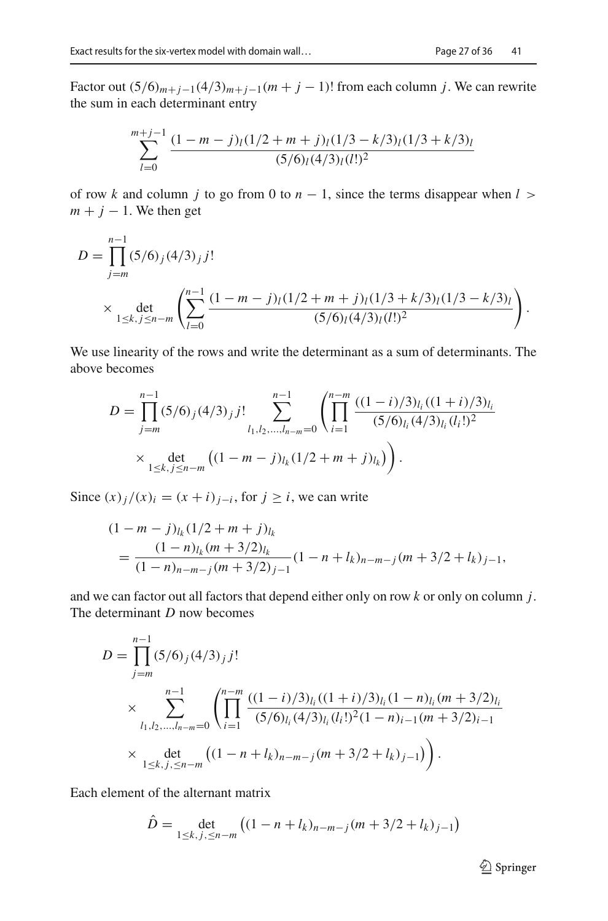Factor out  $(5/6)_{m+j-1}(4/3)_{m+j-1}(m+j-1)!$  from each column *j*. We can rewrite the sum in each determinant entry

$$
\sum_{l=0}^{m+j-1} \frac{(1-m-j)_{l}(1/2+m+j)_{l}(1/3-k/3)_{l}(1/3+k/3)_{l}}{(5/6)_{l}(4/3)_{l}(l!)^{2}}
$$

of row *k* and column *j* to go from 0 to  $n - 1$ , since the terms disappear when  $l >$  $m + j - 1$ . We then get

$$
D = \prod_{j=m}^{n-1} (5/6)_j (4/3)_j j!
$$
  
 
$$
\times \det_{1 \le k, j \le n-m} \left( \sum_{l=0}^{n-1} \frac{(1-m-j)_l (1/2+m+j)_l (1/3+k/3)_l (1/3-k/3)_l}{(5/6)_l (4/3)_l (l!)^2} \right).
$$

We use linearity of the rows and write the determinant as a sum of determinants. The above becomes

$$
D = \prod_{j=m}^{n-1} (5/6)_j (4/3)_j j! \sum_{l_1, l_2, \dots, l_{n-m}=0}^{n-1} \left( \prod_{i=1}^{n-m} \frac{((1-i)/3)_{l_i} ((1+i)/3)_{l_i}}{(5/6)_{l_i} (4/3)_{l_i} (l_i!)^2} \right)
$$
  
× 
$$
\det_{1 \le k, j \le n-m} \left( (1-m-j)_{l_k} (1/2+m+j)_{l_k} \right).
$$

Since  $(x)$ <sub>*j*</sub> /(x)<sub>*i*</sub> =  $(x + i)$ <sub>*j*−*i*</sub>, for *j* ≥ *i*, we can write

$$
(1 - m - j)_{l_k} (1/2 + m + j)_{l_k}
$$
  
= 
$$
\frac{(1 - n)_{l_k} (m + 3/2)_{l_k}}{(1 - n)_{n-m-j} (m + 3/2)_{j-1}} (1 - n + l_k)_{n-m-j} (m + 3/2 + l_k)_{j-1},
$$

and we can factor out all factors that depend either only on row *k* or only on column *j*. The determinant *D* now becomes

$$
D = \prod_{j=m}^{n-1} (5/6)_j (4/3)_j j!
$$
  
\n
$$
\times \sum_{l_1, l_2, \dots, l_{n-m}=0}^{n-1} \left( \prod_{i=1}^{n-m} \frac{((1-i)/3)_{l_i} ((1+i)/3)_{l_i} (1-n)_{l_i} (m+3/2)_{l_i}}{(5/6)_{l_i} (4/3)_{l_i} (l_i!)^2 (1-n)_{i-1} (m+3/2)_{i-1}} \right)
$$
  
\n
$$
\times \det_{1 \leq k, j, \leq n-m} ((1-n+l_k)_{n-m-j} (m+3/2+l_k)_{j-1}) \right).
$$

Each element of the alternant matrix

$$
\hat{D} = \det_{1 \le k, j, \le n-m} \left( (1 - n + l_k)_{n-m-j} (m + 3/2 + l_k)_{j-1} \right)
$$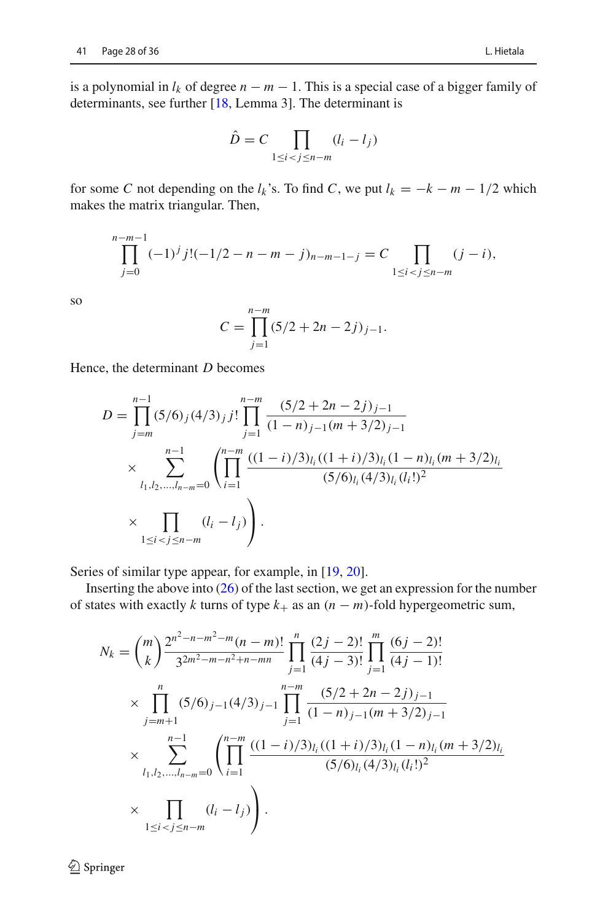is a polynomial in  $l_k$  of degree  $n - m - 1$ . This is a special case of a bigger family of determinants, see further [\[18](#page-36-9), Lemma 3]. The determinant is

$$
\hat{D} = C \prod_{1 \le i < j \le n-m} (l_i - l_j)
$$

for some *C* not depending on the  $l_k$ 's. To find *C*, we put  $l_k = -k - m - 1/2$  which makes the matrix triangular. Then,

$$
\prod_{j=0}^{n-m-1} (-1)^j j!(-1/2 - n - m - j)_{n-m-1-j} = C \prod_{1 \le i < j \le n-m} (j-i),
$$

so

$$
C = \prod_{j=1}^{n-m} (5/2 + 2n - 2j)_{j-1}.
$$

Hence, the determinant *D* becomes

$$
D = \prod_{j=m}^{n-1} (5/6)_j (4/3)_j j! \prod_{j=1}^{n-m} \frac{(5/2 + 2n - 2j)_{j-1}}{(1-n)_{j-1}(m+3/2)_{j-1}}
$$
  
 
$$
\times \sum_{l_1, l_2, \dots, l_{n-m}=0}^{n-1} \left( \prod_{i=1}^{n-m} \frac{((1-i)/3)_{l_i}((1+i)/3)_{l_i}(1-n)_{l_i}(m+3/2)_{l_i}}{(5/6)_{l_i}(4/3)_{l_i}(l_i!)^2} \right)
$$
  
 
$$
\times \prod_{1 \le i < j \le n-m} (l_i - l_j) \right).
$$

Series of similar type appear, for example, in [\[19,](#page-36-10) [20](#page-36-11)].

Inserting the above into  $(26)$  of the last section, we get an expression for the number of states with exactly *k* turns of type  $k_{+}$  as an  $(n - m)$ -fold hypergeometric sum,

$$
N_k = {m \choose k} \frac{2^{n^2 - n - m^2 - m} (n - m)!}{3^{2m^2 - m - n^2 + n - mn}} \prod_{j=1}^n \frac{(2j - 2)!}{(4j - 3)!} \prod_{j=1}^m \frac{(6j - 2)!}{(4j - 1)!}
$$
  
\n
$$
\times \prod_{j=m+1}^n (5/6)_{j-1} (4/3)_{j-1} \prod_{j=1}^{n-m} \frac{(5/2 + 2n - 2j)_{j-1}}{(1 - n)_{j-1} (m + 3/2)_{j-1}}
$$
  
\n
$$
\times \sum_{l_1, l_2, \dots, l_{n-m} = 0}^{n-1} \left( \prod_{i=1}^{n-m} \frac{((1 - i)/3)_{l_i} ((1 + i)/3)_{l_i} (1 - n)_{l_i} (m + 3/2)_{l_i}}{(5/6)_{l_i} (4/3)_{l_i} (l_i!)^2} \right)
$$
  
\n
$$
\times \prod_{1 \le i < j \le n-m} (l_i - l_j) \right).
$$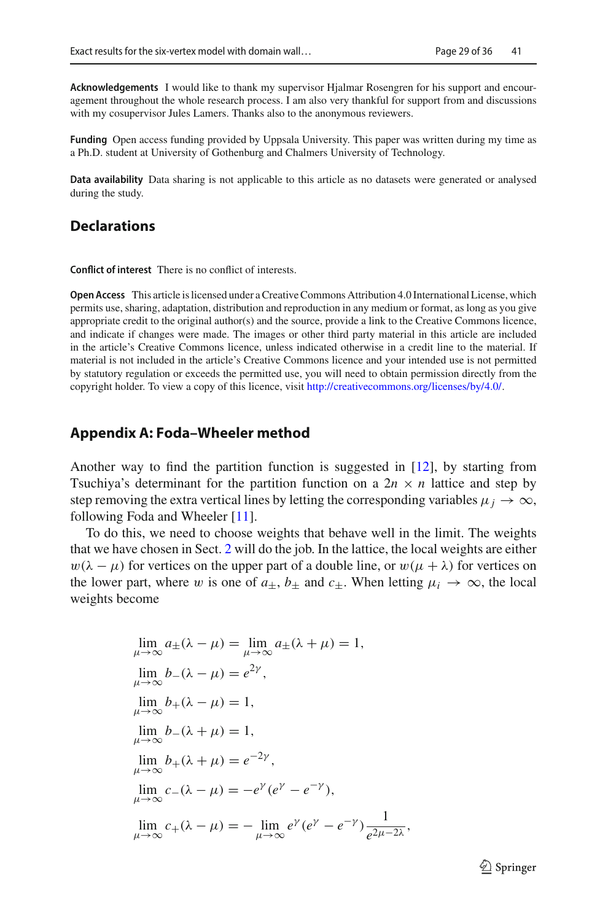**Acknowledgements** I would like to thank my supervisor Hjalmar Rosengren for his support and encouragement throughout the whole research process. I am also very thankful for support from and discussions with my cosupervisor Jules Lamers. Thanks also to the anonymous reviewers.

**Funding** Open access funding provided by Uppsala University. This paper was written during my time as a Ph.D. student at University of Gothenburg and Chalmers University of Technology.

**Data availability** Data sharing is not applicable to this article as no datasets were generated or analysed during the study.

# **Declarations**

**Conflict of interest** There is no conflict of interests.

**Open Access** This article is licensed under a Creative Commons Attribution 4.0 International License, which permits use, sharing, adaptation, distribution and reproduction in any medium or format, as long as you give appropriate credit to the original author(s) and the source, provide a link to the Creative Commons licence, and indicate if changes were made. The images or other third party material in this article are included in the article's Creative Commons licence, unless indicated otherwise in a credit line to the material. If material is not included in the article's Creative Commons licence and your intended use is not permitted by statutory regulation or exceeds the permitted use, you will need to obtain permission directly from the copyright holder. To view a copy of this licence, visit [http://creativecommons.org/licenses/by/4.0/.](http://creativecommons.org/licenses/by/4.0/)

#### **Appendix A: Foda–Wheeler method**

Another way to find the partition function is suggested in [\[12\]](#page-36-3), by starting from Tsuchiya's determinant for the partition function on a  $2n \times n$  lattice and step by step removing the extra vertical lines by letting the corresponding variables  $\mu_j \to \infty$ , following Foda and Wheeler [\[11](#page-36-2)].

To do this, we need to choose weights that behave well in the limit. The weights that we have chosen in Sect. [2](#page-3-0) will do the job. In the lattice, the local weights are either  $w(\lambda - \mu)$  for vertices on the upper part of a double line, or  $w(\mu + \lambda)$  for vertices on the lower part, where w is one of  $a_{\pm}$ ,  $b_{\pm}$  and  $c_{\pm}$ . When letting  $\mu_i \to \infty$ , the local weights become

$$
\lim_{\mu \to \infty} a_{\pm}(\lambda - \mu) = \lim_{\mu \to \infty} a_{\pm}(\lambda + \mu) = 1,
$$
  
\n
$$
\lim_{\mu \to \infty} b_{-}(\lambda - \mu) = e^{2\gamma},
$$
  
\n
$$
\lim_{\mu \to \infty} b_{+}(\lambda - \mu) = 1,
$$
  
\n
$$
\lim_{\mu \to \infty} b_{-}(\lambda + \mu) = 1,
$$
  
\n
$$
\lim_{\mu \to \infty} b_{+}(\lambda + \mu) = e^{-2\gamma},
$$
  
\n
$$
\lim_{\mu \to \infty} c_{-}(\lambda - \mu) = -e^{\gamma}(e^{\gamma} - e^{-\gamma}),
$$
  
\n
$$
\lim_{\mu \to \infty} c_{+}(\lambda - \mu) = -\lim_{\mu \to \infty} e^{\gamma}(e^{\gamma} - e^{-\gamma}) \frac{1}{e^{2\mu - 2\lambda}},
$$

 $\mathcal{D}$  Springer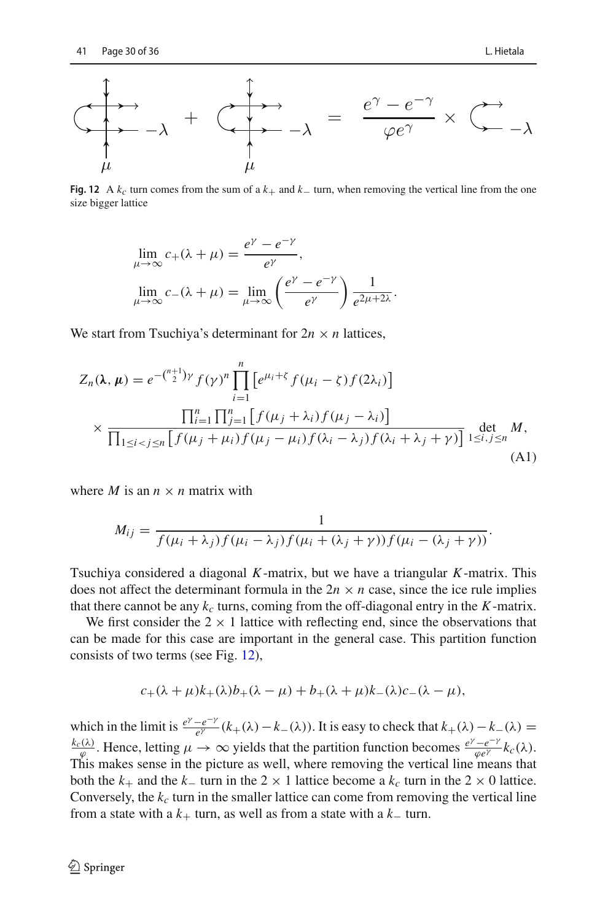

<span id="page-30-0"></span>**Fig. 12** A  $k_c$  turn comes from the sum of a  $k_+$  and  $k_-\$  turn, when removing the vertical line from the one size bigger lattice

$$
\lim_{\mu \to \infty} c_{+}(\lambda + \mu) = \frac{e^{\gamma} - e^{-\gamma}}{e^{\gamma}},
$$

$$
\lim_{\mu \to \infty} c_{-}(\lambda + \mu) = \lim_{\mu \to \infty} \left(\frac{e^{\gamma} - e^{-\gamma}}{e^{\gamma}}\right) \frac{1}{e^{2\mu + 2\lambda}}.
$$

We start from Tsuchiya's determinant for  $2n \times n$  lattices,

$$
Z_n(\lambda, \mu) = e^{-\binom{n+1}{2}\gamma} f(\gamma)^n \prod_{i=1}^n \left[ e^{\mu_i + \zeta} f(\mu_i - \zeta) f(2\lambda_i) \right]
$$
  
 
$$
\times \frac{\prod_{i=1}^n \prod_{j=1}^n \left[ f(\mu_j + \lambda_i) f(\mu_j - \lambda_i) \right]}{\prod_{1 \le i < j \le n} \left[ f(\mu_j + \mu_i) f(\mu_j - \mu_i) f(\lambda_i - \lambda_j) f(\lambda_i + \lambda_j + \gamma) \right]} \det_{1 \le i, j \le n} M,
$$
\n(A1)

where *M* is an  $n \times n$  matrix with

<span id="page-30-1"></span>
$$
M_{ij} = \frac{1}{f(\mu_i + \lambda_j)f(\mu_i - \lambda_j)f(\mu_i + (\lambda_j + \gamma))f(\mu_i - (\lambda_j + \gamma))}.
$$

Tsuchiya considered a diagonal *K*-matrix, but we have a triangular *K*-matrix. This does not affect the determinant formula in the  $2n \times n$  case, since the ice rule implies that there cannot be any  $k_c$  turns, coming from the off-diagonal entry in the  $K$ -matrix.

We first consider the  $2 \times 1$  lattice with reflecting end, since the observations that can be made for this case are important in the general case. This partition function consists of two terms (see Fig. [12\)](#page-30-0),

$$
c_{+}(\lambda+\mu)k_{+}(\lambda)b_{+}(\lambda-\mu)+b_{+}(\lambda+\mu)k_{-}(\lambda)c_{-}(\lambda-\mu),
$$

which in the limit is  $\frac{e^{y} - e^{-y}}{e^{y}}$  ( $k_+(\lambda) - k_-(\lambda)$ ). It is easy to check that  $k_+(\lambda) - k_-(\lambda) =$  $\frac{k_c(\lambda)}{\varphi}$ . Hence, letting  $\mu \to \infty$  yields that the partition function becomes  $\frac{e^{\gamma}-e^{-\gamma}}{\varphi e^{\gamma}}k_c(\lambda)$ . This makes sense in the picture as well, where removing the vertical line means that both the  $k_+$  and the  $k_-$  turn in the 2 × 1 lattice become a  $k_c$  turn in the 2 × 0 lattice. Conversely, the  $k_c$  turn in the smaller lattice can come from removing the vertical line from a state with a  $k_{+}$  turn, as well as from a state with a  $k_{-}$  turn.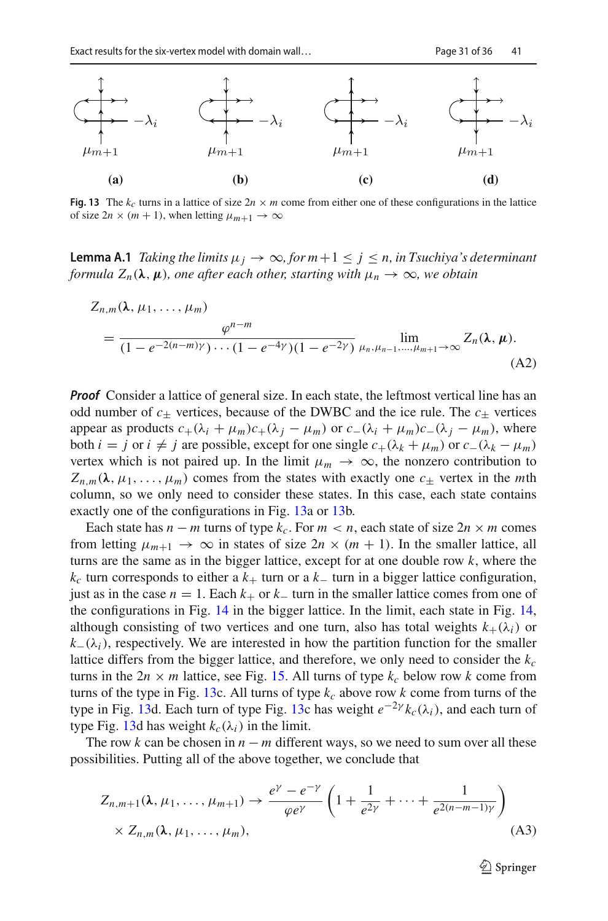

<span id="page-31-0"></span>**Fig. 13** The  $k_c$  turns in a lattice of size  $2n \times m$  come from either one of these configurations in the lattice of size  $2n \times (m + 1)$ , when letting  $\mu_{m+1} \to \infty$ 

**Lemma A.1** *Taking the limits*  $\mu_j \to \infty$ , for  $m+1 \leq j \leq n$ , in Tsuchiya's determinant *formula*  $Z_n(\lambda, \mu)$ *, one after each other, starting with*  $\mu_n \to \infty$ *, we obtain* 

$$
Z_{n,m}(\lambda, \mu_1, \dots, \mu_m)
$$
  
= 
$$
\frac{\varphi^{n-m}}{(1 - e^{-2(n-m)\gamma}) \cdots (1 - e^{-4\gamma})(1 - e^{-2\gamma})} \lim_{\mu_n, \mu_{n-1}, \dots, \mu_{m+1} \to \infty} Z_n(\lambda, \mu).
$$
  
(A2)

*Proof* Consider a lattice of general size. In each state, the leftmost vertical line has an odd number of  $c_{\pm}$  vertices, because of the DWBC and the ice rule. The  $c_{\pm}$  vertices appear as products  $c_+(\lambda_i + \mu_m)c_+(\lambda_j - \mu_m)$  or  $c_-(\lambda_i + \mu_m)c_-(\lambda_j - \mu_m)$ , where both *i* = *j* or *i* ≠ *j* are possible, except for one single  $c_{+}(λ_k + μ_m)$  or  $c_{-}(λ_k - μ_m)$ vertex which is not paired up. In the limit  $\mu_m \to \infty$ , the nonzero contribution to  $Z_{n,m}(\lambda, \mu_1, \ldots, \mu_m)$  comes from the states with exactly one  $c_{\pm}$  vertex in the *mth* column, so we only need to consider these states. In this case, each state contains exactly one of the configurations in Fig. [13a](#page-31-0) or [13b](#page-31-0).

Each state has  $n - m$  turns of type  $k_c$ . For  $m < n$ , each state of size  $2n \times m$  comes from letting  $\mu_{m+1} \to \infty$  in states of size  $2n \times (m + 1)$ . In the smaller lattice, all turns are the same as in the bigger lattice, except for at one double row *k*, where the  $k_c$  turn corresponds to either a  $k_+$  turn or a  $k_-$  turn in a bigger lattice configuration, just as in the case  $n = 1$ . Each  $k_{+}$  or  $k_{-}$  turn in the smaller lattice comes from one of the configurations in Fig. [14](#page-32-0) in the bigger lattice. In the limit, each state in Fig. [14,](#page-32-0) although consisting of two vertices and one turn, also has total weights  $k_{+}(\lambda_{i})$  or  $k=(\lambda_i)$ , respectively. We are interested in how the partition function for the smaller lattice differs from the bigger lattice, and therefore, we only need to consider the  $k_c$ turns in the  $2n \times m$  lattice, see Fig. [15.](#page-32-1) All turns of type  $k_c$  below row k come from turns of the type in Fig. [13c](#page-31-0). All turns of type  $k_c$  above row  $k$  come from turns of the type in Fig. [13d](#page-31-0). Each turn of type Fig. [13c](#page-31-0) has weight  $e^{-2\gamma} k_c(\lambda_i)$ , and each turn of type Fig. [13d](#page-31-0) has weight  $k_c(\lambda_i)$  in the limit.

The row  $k$  can be chosen in  $n - m$  different ways, so we need to sum over all these possibilities. Putting all of the above together, we conclude that

$$
Z_{n,m+1}(\lambda, \mu_1, \dots, \mu_{m+1}) \to \frac{e^{\gamma} - e^{-\gamma}}{\varphi e^{\gamma}} \left( 1 + \frac{1}{e^{2\gamma}} + \dots + \frac{1}{e^{2(n-m-1)\gamma}} \right)
$$
  
×  $Z_{n,m}(\lambda, \mu_1, \dots, \mu_m)$ , (A3)

<span id="page-31-1"></span> $\mathcal{D}$  Springer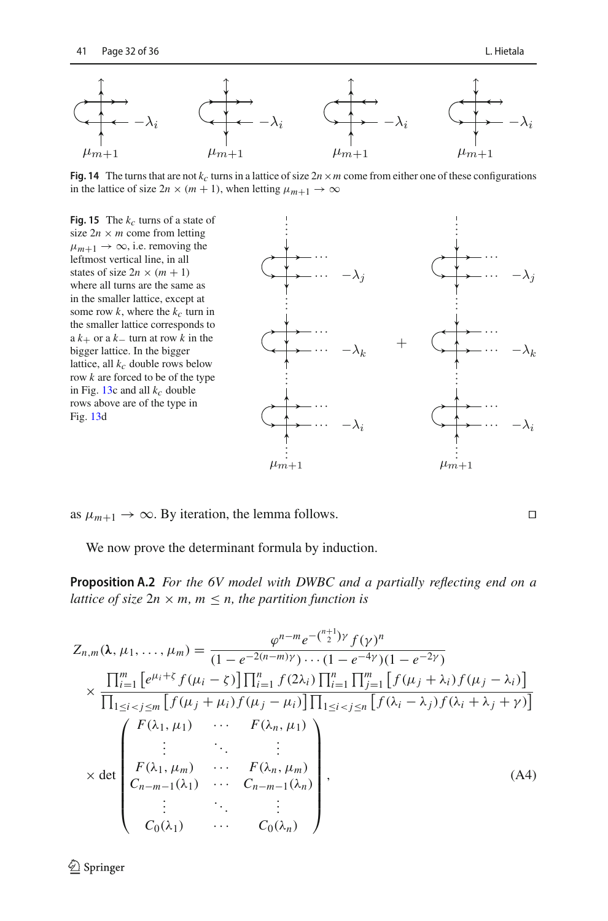

<span id="page-32-0"></span>**Fig. 14** The turns that are not  $k_c$  turns in a lattice of size  $2n \times m$  come from either one of these configurations in the lattice of size  $2n \times (m + 1)$ , when letting  $\mu_{m+1} \to \infty$ 

<span id="page-32-1"></span>

as  $\mu_{m+1} \rightarrow \infty$ . By iteration, the lemma follows.

We now prove the determinant formula by induction.

**Proposition A.2** *For the 6V model with DWBC and a partially reflecting end on a lattice of size*  $2n \times m$ ,  $m \leq n$ , the partition function is

$$
Z_{n,m}(\lambda, \mu_1, ..., \mu_m) = \frac{\varphi^{n-m} e^{-{\binom{n+1}{2}} \gamma} f(\gamma)^n}{(1 - e^{-2(n-m)\gamma}) \cdots (1 - e^{-4\gamma})(1 - e^{-2\gamma})}
$$
  
\n
$$
\times \frac{\prod_{i=1}^m \left[ e^{\mu_i + \zeta} f(\mu_i - \zeta) \right] \prod_{i=1}^n f(2\lambda_i) \prod_{i=1}^n \prod_{j=1}^m \left[ f(\mu_j + \lambda_i) f(\mu_j - \lambda_i) \right]}{\prod_{1 \le i < j \le m} \left[ f(\mu_j + \mu_i) f(\mu_j - \mu_i) \right] \prod_{1 \le i < j \le n} \left[ f(\lambda_i - \lambda_j) f(\lambda_i + \lambda_j + \gamma) \right]}
$$
  
\n
$$
\times \det \begin{pmatrix} F(\lambda_1, \mu_1) & \cdots & F(\lambda_n, \mu_1) \\ \vdots & \ddots & \vdots \\ F(\lambda_1, \mu_m) & \cdots & F(\lambda_n, \mu_m) \\ C_{n-m-1}(\lambda_1) & \cdots & C_{n-m-1}(\lambda_n) \\ \vdots & \ddots & \vdots \\ C_0(\lambda_1) & \cdots & C_0(\lambda_n) \end{pmatrix}, \tag{A4}
$$

<sup>2</sup> Springer

<span id="page-32-2"></span> $\Box$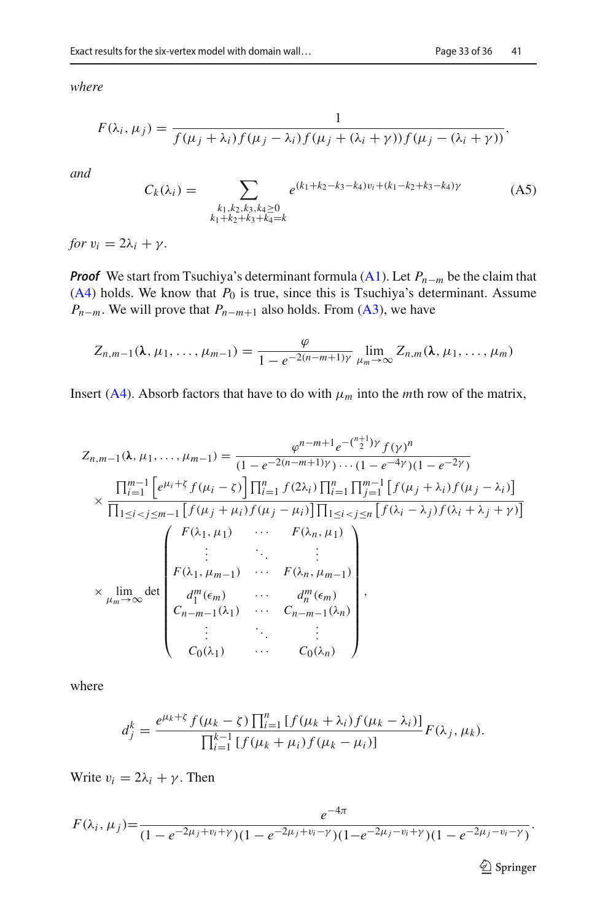*where*

$$
F(\lambda_i, \mu_j) = \frac{1}{f(\mu_j + \lambda_i) f(\mu_j - \lambda_i) f(\mu_j + (\lambda_i + \gamma)) f(\mu_j - (\lambda_i + \gamma))},
$$

*and*

<span id="page-33-0"></span>
$$
C_k(\lambda_i) = \sum_{\substack{k_1, k_2, k_3, k_4 \ge 0 \\ k_1 + k_2 + k_3 + k_4 = k}} e^{(k_1 + k_2 - k_3 - k_4)v_i + (k_1 - k_2 + k_3 - k_4)\gamma}
$$
 (A5)

*for*  $v_i = 2\lambda_i + \gamma$ .

*Proof* We start from Tsuchiya's determinant formula [\(A1\)](#page-30-1). Let *P<sub>n−m</sub>* be the claim that  $(A4)$  holds. We know that  $P_0$  is true, since this is Tsuchiya's determinant. Assume  $P_{n-m}$ . We will prove that  $P_{n-m+1}$  also holds. From [\(A3\)](#page-31-1), we have

$$
Z_{n,m-1}(\lambda,\mu_1,\ldots,\mu_{m-1})=\frac{\varphi}{1-e^{-2(n-m+1)\gamma}}\lim_{\mu_m\to\infty}Z_{n,m}(\lambda,\mu_1,\ldots,\mu_m)
$$

Insert [\(A4\)](#page-32-2). Absorb factors that have to do with  $\mu_m$  into the *m*th row of the matrix,

$$
Z_{n,m-1}(\lambda, \mu_1, ..., \mu_{m-1}) = \frac{\varphi^{n-m+1} e^{-{\binom{n+1}{2}} \gamma} f(\gamma)^n}{(1 - e^{-2(n-m+1)\gamma}) \cdots (1 - e^{-4\gamma})(1 - e^{-2\gamma})}
$$

$$
\times \frac{\prod_{i=1}^{m-1} \left[ e^{\mu_i + \zeta} f(\mu_i - \zeta) \right] \prod_{i=1}^n f(2\lambda_i) \prod_{i=1}^n \prod_{j=1}^{m-1} \left[ f(\mu_j + \lambda_i) f(\mu_j - \lambda_i) \right]}{\prod_{1 \le i < j \le m-1} \left[ f(\mu_j + \mu_i) f(\mu_j - \mu_i) \right] \prod_{1 \le i < j \le n} \left[ f(\lambda_i - \lambda_j) f(\lambda_i + \lambda_j + \gamma) \right]}
$$

$$
= \begin{cases} F(\lambda_1, \mu_1) & \cdots & F(\lambda_n, \mu_1) \\ \vdots & \ddots & \vdots \\ F(\lambda_1, \mu_{m-1}) & \cdots & F(\lambda_n, \mu_{m-1}) \\ \vdots & \ddots & \vdots \\ d_1^m(\epsilon_m) & \cdots & d_n^m(\epsilon_m) \\ C_{n-m-1}(\lambda_1) & \cdots & C_{n-m-1}(\lambda_n) \\ \vdots & \ddots & \vdots \\ C_0(\lambda_1) & \cdots & C_0(\lambda_n) \end{cases},
$$

where

$$
d_j^k = \frac{e^{\mu_k + \zeta} f(\mu_k - \zeta) \prod_{i=1}^n [f(\mu_k + \lambda_i) f(\mu_k - \lambda_i)]}{\prod_{i=1}^{k-1} [f(\mu_k + \mu_i) f(\mu_k - \mu_i)]} F(\lambda_j, \mu_k).
$$

Write  $v_i = 2\lambda_i + \gamma$ . Then

$$
F(\lambda_i, \mu_j) = \frac{e^{-4\pi}}{(1 - e^{-2\mu_j + v_i + \gamma})(1 - e^{-2\mu_j + v_i - \gamma})(1 - e^{-2\mu_j - v_i + \gamma})(1 - e^{-2\mu_j - v_i - \gamma})}.
$$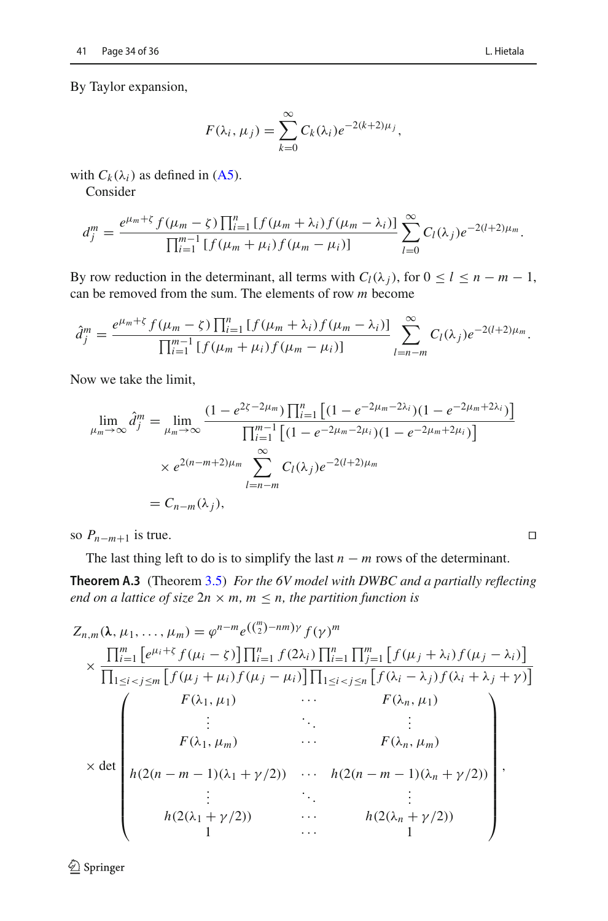By Taylor expansion,

$$
F(\lambda_i, \mu_j) = \sum_{k=0}^{\infty} C_k(\lambda_i) e^{-2(k+2)\mu_j},
$$

with  $C_k(\lambda_i)$  as defined in [\(A5\)](#page-33-0).

Consider

$$
d_j^m = \frac{e^{\mu_m + \zeta} f(\mu_m - \zeta) \prod_{i=1}^n [f(\mu_m + \lambda_i) f(\mu_m - \lambda_i)]}{\prod_{i=1}^{m-1} [f(\mu_m + \mu_i) f(\mu_m - \mu_i)]} \sum_{l=0}^{\infty} C_l(\lambda_j) e^{-2(l+2)\mu_m}.
$$

By row reduction in the determinant, all terms with  $C_l(\lambda_i)$ , for  $0 \le l \le n - m - 1$ , can be removed from the sum. The elements of row *m* become

$$
\hat{d}_j^m = \frac{e^{\mu_m + \zeta} f(\mu_m - \zeta) \prod_{i=1}^n [f(\mu_m + \lambda_i) f(\mu_m - \lambda_i)]}{\prod_{i=1}^{m-1} [f(\mu_m + \mu_i) f(\mu_m - \mu_i)]} \sum_{l=n-m}^{\infty} C_l(\lambda_j) e^{-2(l+2)\mu_m}.
$$

Now we take the limit,

$$
\lim_{\mu_m \to \infty} \hat{d}_j^m = \lim_{\mu_m \to \infty} \frac{(1 - e^{2\zeta - 2\mu_m}) \prod_{i=1}^n \left[ (1 - e^{-2\mu_m - 2\lambda_i}) (1 - e^{-2\mu_m + 2\lambda_i}) \right]}{\prod_{i=1}^{m-1} \left[ (1 - e^{-2\mu_m - 2\mu_i}) (1 - e^{-2\mu_m + 2\mu_i}) \right]}
$$
  
 
$$
\times e^{2(n - m + 2)\mu_m} \sum_{l=n-m}^{\infty} C_l(\lambda_j) e^{-2(l+2)\mu_m}
$$
  
=  $C_{n-m}(\lambda_j)$ ,

so  $P_{n-m+1}$  is true.

The last thing left to do is to simplify the last  $n - m$  rows of the determinant.

**Theorem A.3** (Theorem [3.5\)](#page-10-0) *For the 6V model with DWBC and a partially reflecting end on a lattice of size*  $2n \times m$ ,  $m \leq n$ , the partition function is

$$
Z_{n,m}(\lambda, \mu_1, \ldots, \mu_m) = \varphi^{n-m} e^{\left(\binom{m}{2} - n m\right) \gamma} f(\gamma)^m
$$
  
\n
$$
\times \frac{\prod_{i=1}^m \left[ e^{\mu_i + \zeta} f(\mu_i - \zeta) \right] \prod_{i=1}^n f(2\lambda_i) \prod_{i=1}^n \prod_{j=1}^m \left[ f(\mu_j + \lambda_i) f(\mu_j - \lambda_i) \right]}{\prod_{1 \le i < j \le m} \left[ f(\mu_j + \mu_i) f(\mu_j - \mu_i) \right] \prod_{1 \le i < j \le n} \left[ f(\lambda_i - \lambda_j) f(\lambda_i + \lambda_j + \gamma) \right]}
$$
\n
$$
F(\lambda_1, \mu_1) \cdots F(\lambda_n, \mu_1)
$$
\n
$$
\vdots \qquad \vdots \qquad \vdots \qquad \vdots
$$
\n
$$
F(\lambda_1, \mu_m) \cdots F(\lambda_n, \mu_m)
$$
\n
$$
\times \det \begin{pmatrix} F(\lambda_1, \mu_m) & \cdots & F(\lambda_n, \mu_m) \\ h(2(n - m - 1)(\lambda_1 + \gamma/2)) & \cdots & h(2(n - m - 1)(\lambda_n + \gamma/2)) \\ \vdots & \ddots & \vdots \\ h(2(\lambda_1 + \gamma/2)) & \cdots & h(2(\lambda_n + \gamma/2)) \end{pmatrix},
$$

<sup>2</sup> Springer

 $\Box$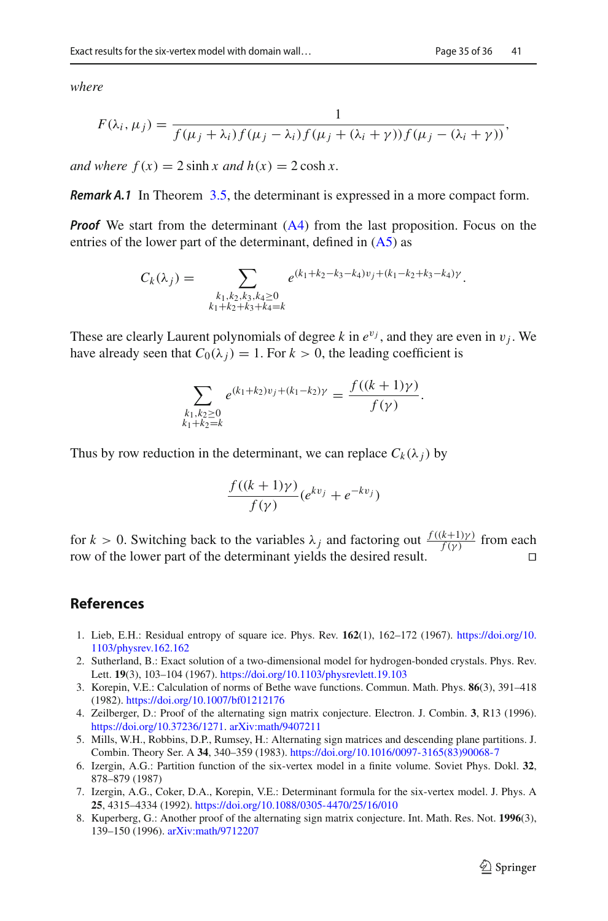*where*

$$
F(\lambda_i, \mu_j) = \frac{1}{f(\mu_j + \lambda_i) f(\mu_j - \lambda_i) f(\mu_j + (\lambda_i + \gamma)) f(\mu_j - (\lambda_i + \gamma))},
$$

*and where*  $f(x) = 2 \sinh x$  *and*  $h(x) = 2 \cosh x$ .

*Remark A.1* In Theorem [3.5,](#page-10-0) the determinant is expressed in a more compact form.

*Proof* We start from the determinant [\(A4\)](#page-32-2) from the last proposition. Focus on the entries of the lower part of the determinant, defined in  $(A5)$  as

$$
C_k(\lambda_j) = \sum_{\substack{k_1, k_2, k_3, k_4 \ge 0 \\ k_1 + k_2 + k_3 + k_4 = k}} e^{(k_1 + k_2 - k_3 - k_4)v_j + (k_1 - k_2 + k_3 - k_4)\gamma}.
$$

These are clearly Laurent polynomials of degree *k* in  $e^{v_j}$ , and they are even in  $v_j$ . We have already seen that  $C_0(\lambda_i) = 1$ . For  $k > 0$ , the leading coefficient is

$$
\sum_{\substack{k_1,k_2\geq 0\\k_1+k_2=k}} e^{(k_1+k_2)v_j+(k_1-k_2)\gamma} = \frac{f((k+1)\gamma)}{f(\gamma)}.
$$

Thus by row reduction in the determinant, we can replace  $C_k(\lambda_i)$  by

$$
\frac{f((k+1)\gamma)}{f(\gamma)}(e^{kv_j}+e^{-kv_j})
$$

for *k* > 0. Switching back to the variables  $\lambda_j$  and factoring out  $\frac{f((k+1)\gamma)}{f(\gamma)}$  from each row of the lower part of the determinant yields the desired result.  $\Box$ 

## **References**

- <span id="page-35-0"></span>1. Lieb, E.H.: Residual entropy of square ice. Phys. Rev. **162**(1), 162–172 (1967). [https://doi.org/10.](https://doi.org/10.1103/physrev.162.162) [1103/physrev.162.162](https://doi.org/10.1103/physrev.162.162)
- <span id="page-35-1"></span>2. Sutherland, B.: Exact solution of a two-dimensional model for hydrogen-bonded crystals. Phys. Rev. Lett. **19**(3), 103–104 (1967). <https://doi.org/10.1103/physrevlett.19.103>
- <span id="page-35-2"></span>3. Korepin, V.E.: Calculation of norms of Bethe wave functions. Commun. Math. Phys. **86**(3), 391–418 (1982). <https://doi.org/10.1007/bf01212176>
- <span id="page-35-3"></span>4. Zeilberger, D.: Proof of the alternating sign matrix conjecture. Electron. J. Combin. **3**, R13 (1996). [https://doi.org/10.37236/1271.](https://doi.org/10.37236/1271) [arXiv:math/9407211](http://arxiv.org/abs/math/9407211)
- <span id="page-35-4"></span>5. Mills, W.H., Robbins, D.P., Rumsey, H.: Alternating sign matrices and descending plane partitions. J. Combin. Theory Ser. A **34**, 340–359 (1983). [https://doi.org/10.1016/0097-3165\(83\)90068-7](https://doi.org/10.1016/0097-3165(83)90068-7)
- <span id="page-35-5"></span>6. Izergin, A.G.: Partition function of the six-vertex model in a finite volume. Soviet Phys. Dokl. **32**, 878–879 (1987)
- <span id="page-35-6"></span>7. Izergin, A.G., Coker, D.A., Korepin, V.E.: Determinant formula for the six-vertex model. J. Phys. A **25**, 4315–4334 (1992). <https://doi.org/10.1088/0305-4470/25/16/010>
- <span id="page-35-7"></span>8. Kuperberg, G.: Another proof of the alternating sign matrix conjecture. Int. Math. Res. Not. **1996**(3), 139–150 (1996). [arXiv:math/9712207](http://arxiv.org/abs/math/9712207)